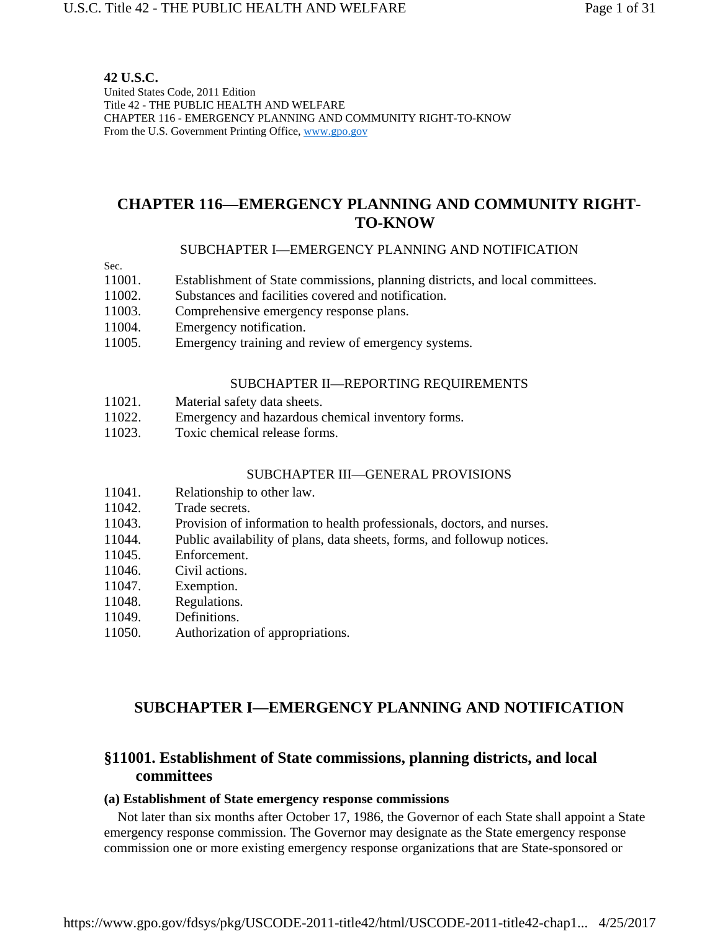## **42 U.S.C.**

United States Code, 2011 Edition Title 42 - THE PUBLIC HEALTH AND WELFARE CHAPTER 116 - EMERGENCY PLANNING AND COMMUNITY RIGHT-TO-KNOW From the U.S. Government Printing Office, www.gpo.gov

# **CHAPTER 116—EMERGENCY PLANNING AND COMMUNITY RIGHT-TO-KNOW**

# SUBCHAPTER I—EMERGENCY PLANNING AND NOTIFICATION

Sec.

- 11001. Establishment of State commissions, planning districts, and local committees.
- 11002. Substances and facilities covered and notification.
- 11003. Comprehensive emergency response plans.
- 11004. Emergency notification.
- 11005. Emergency training and review of emergency systems.

### SUBCHAPTER II—REPORTING REQUIREMENTS

- 11021. Material safety data sheets.
- 11022. Emergency and hazardous chemical inventory forms.
- 11023. Toxic chemical release forms.

# SUBCHAPTER III—GENERAL PROVISIONS

- 11041. Relationship to other law.
- 11042. Trade secrets.
- 11043. Provision of information to health professionals, doctors, and nurses.
- 11044. Public availability of plans, data sheets, forms, and followup notices.
- 11045. Enforcement.
- 11046. Civil actions.
- 11047. Exemption.
- 11048. Regulations.
- 11049. Definitions.
- 11050. Authorization of appropriations.

# **SUBCHAPTER I—EMERGENCY PLANNING AND NOTIFICATION**

# **§11001. Establishment of State commissions, planning districts, and local committees**

### **(a) Establishment of State emergency response commissions**

Not later than six months after October 17, 1986, the Governor of each State shall appoint a State emergency response commission. The Governor may designate as the State emergency response commission one or more existing emergency response organizations that are State-sponsored or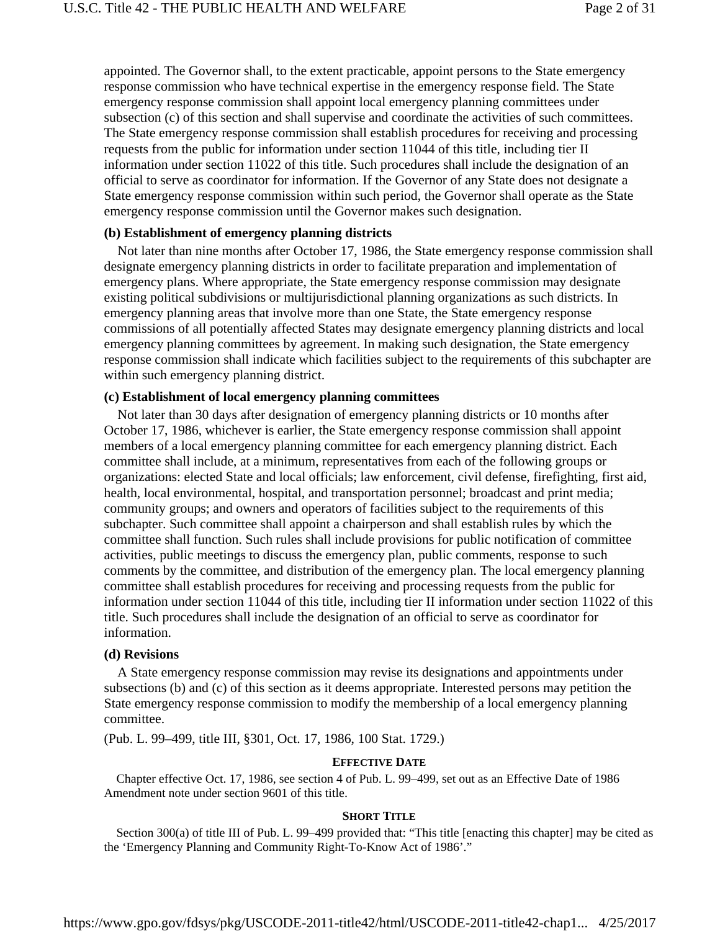appointed. The Governor shall, to the extent practicable, appoint persons to the State emergency response commission who have technical expertise in the emergency response field. The State emergency response commission shall appoint local emergency planning committees under subsection (c) of this section and shall supervise and coordinate the activities of such committees. The State emergency response commission shall establish procedures for receiving and processing requests from the public for information under section 11044 of this title, including tier II information under section 11022 of this title. Such procedures shall include the designation of an official to serve as coordinator for information. If the Governor of any State does not designate a State emergency response commission within such period, the Governor shall operate as the State emergency response commission until the Governor makes such designation.

### **(b) Establishment of emergency planning districts**

Not later than nine months after October 17, 1986, the State emergency response commission shall designate emergency planning districts in order to facilitate preparation and implementation of emergency plans. Where appropriate, the State emergency response commission may designate existing political subdivisions or multijurisdictional planning organizations as such districts. In emergency planning areas that involve more than one State, the State emergency response commissions of all potentially affected States may designate emergency planning districts and local emergency planning committees by agreement. In making such designation, the State emergency response commission shall indicate which facilities subject to the requirements of this subchapter are within such emergency planning district.

## **(c) Establishment of local emergency planning committees**

Not later than 30 days after designation of emergency planning districts or 10 months after October 17, 1986, whichever is earlier, the State emergency response commission shall appoint members of a local emergency planning committee for each emergency planning district. Each committee shall include, at a minimum, representatives from each of the following groups or organizations: elected State and local officials; law enforcement, civil defense, firefighting, first aid, health, local environmental, hospital, and transportation personnel; broadcast and print media; community groups; and owners and operators of facilities subject to the requirements of this subchapter. Such committee shall appoint a chairperson and shall establish rules by which the committee shall function. Such rules shall include provisions for public notification of committee activities, public meetings to discuss the emergency plan, public comments, response to such comments by the committee, and distribution of the emergency plan. The local emergency planning committee shall establish procedures for receiving and processing requests from the public for information under section 11044 of this title, including tier II information under section 11022 of this title. Such procedures shall include the designation of an official to serve as coordinator for information.

#### **(d) Revisions**

A State emergency response commission may revise its designations and appointments under subsections (b) and (c) of this section as it deems appropriate. Interested persons may petition the State emergency response commission to modify the membership of a local emergency planning committee.

(Pub. L. 99–499, title III, §301, Oct. 17, 1986, 100 Stat. 1729.)

#### **EFFECTIVE DATE**

Chapter effective Oct. 17, 1986, see section 4 of Pub. L. 99–499, set out as an Effective Date of 1986 Amendment note under section 9601 of this title.

## **SHORT TITLE**

Section 300(a) of title III of Pub. L. 99–499 provided that: "This title [enacting this chapter] may be cited as the 'Emergency Planning and Community Right-To-Know Act of 1986'."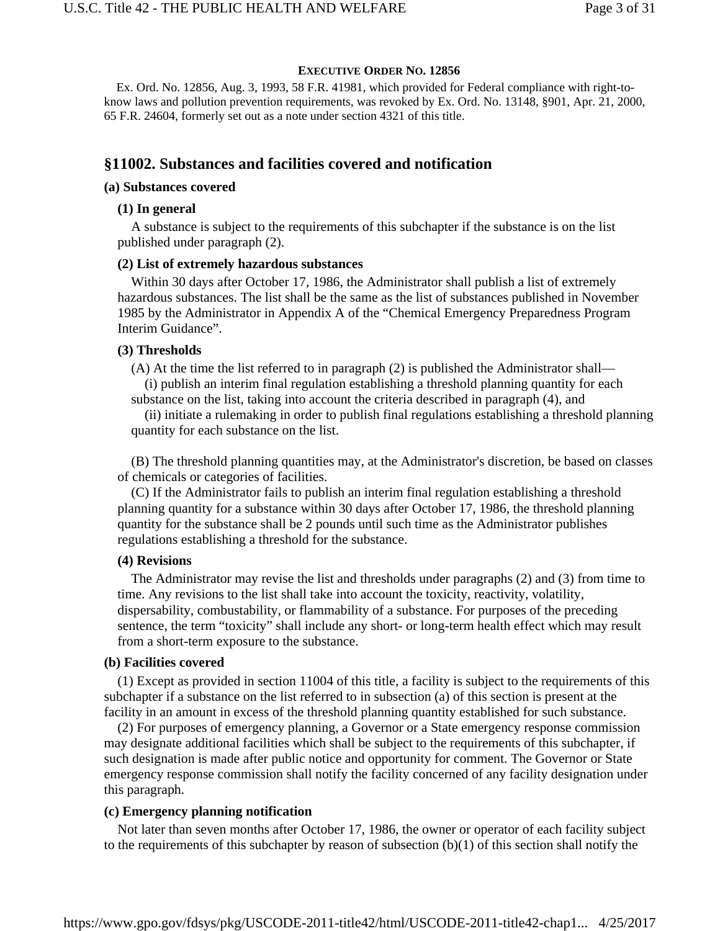### **EXECUTIVE ORDER NO. 12856**

Ex. Ord. No. 12856, Aug. 3, 1993, 58 F.R. 41981, which provided for Federal compliance with right-toknow laws and pollution prevention requirements, was revoked by Ex. Ord. No. 13148, §901, Apr. 21, 2000, 65 F.R. 24604, formerly set out as a note under section 4321 of this title.

# **§11002. Substances and facilities covered and notification**

## **(a) Substances covered**

### **(1) In general**

A substance is subject to the requirements of this subchapter if the substance is on the list published under paragraph (2).

#### **(2) List of extremely hazardous substances**

Within 30 days after October 17, 1986, the Administrator shall publish a list of extremely hazardous substances. The list shall be the same as the list of substances published in November 1985 by the Administrator in Appendix A of the "Chemical Emergency Preparedness Program Interim Guidance".

### **(3) Thresholds**

(A) At the time the list referred to in paragraph (2) is published the Administrator shall— (i) publish an interim final regulation establishing a threshold planning quantity for each

substance on the list, taking into account the criteria described in paragraph (4), and

(ii) initiate a rulemaking in order to publish final regulations establishing a threshold planning quantity for each substance on the list.

(B) The threshold planning quantities may, at the Administrator's discretion, be based on classes of chemicals or categories of facilities.

(C) If the Administrator fails to publish an interim final regulation establishing a threshold planning quantity for a substance within 30 days after October 17, 1986, the threshold planning quantity for the substance shall be 2 pounds until such time as the Administrator publishes regulations establishing a threshold for the substance.

### **(4) Revisions**

The Administrator may revise the list and thresholds under paragraphs (2) and (3) from time to time. Any revisions to the list shall take into account the toxicity, reactivity, volatility, dispersability, combustability, or flammability of a substance. For purposes of the preceding sentence, the term "toxicity" shall include any short- or long-term health effect which may result from a short-term exposure to the substance.

### **(b) Facilities covered**

(1) Except as provided in section 11004 of this title, a facility is subject to the requirements of this subchapter if a substance on the list referred to in subsection (a) of this section is present at the facility in an amount in excess of the threshold planning quantity established for such substance.

(2) For purposes of emergency planning, a Governor or a State emergency response commission may designate additional facilities which shall be subject to the requirements of this subchapter, if such designation is made after public notice and opportunity for comment. The Governor or State emergency response commission shall notify the facility concerned of any facility designation under this paragraph.

### **(c) Emergency planning notification**

Not later than seven months after October 17, 1986, the owner or operator of each facility subject to the requirements of this subchapter by reason of subsection  $(b)(1)$  of this section shall notify the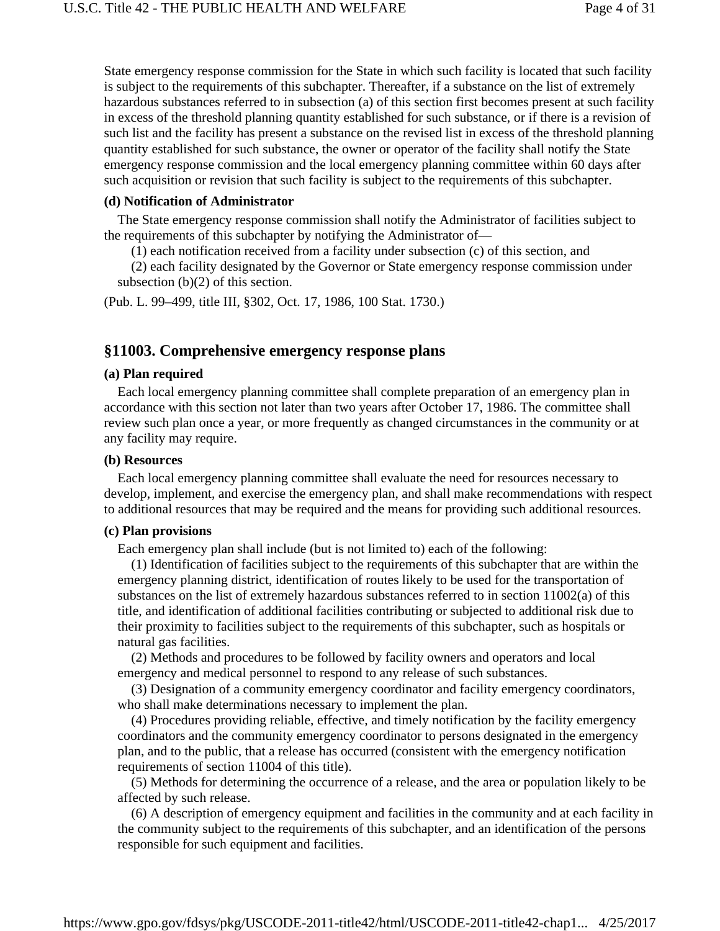State emergency response commission for the State in which such facility is located that such facility is subject to the requirements of this subchapter. Thereafter, if a substance on the list of extremely hazardous substances referred to in subsection (a) of this section first becomes present at such facility in excess of the threshold planning quantity established for such substance, or if there is a revision of such list and the facility has present a substance on the revised list in excess of the threshold planning quantity established for such substance, the owner or operator of the facility shall notify the State emergency response commission and the local emergency planning committee within 60 days after such acquisition or revision that such facility is subject to the requirements of this subchapter.

## **(d) Notification of Administrator**

The State emergency response commission shall notify the Administrator of facilities subject to the requirements of this subchapter by notifying the Administrator of—

(1) each notification received from a facility under subsection (c) of this section, and

(2) each facility designated by the Governor or State emergency response commission under subsection (b)(2) of this section.

(Pub. L. 99–499, title III, §302, Oct. 17, 1986, 100 Stat. 1730.)

# **§11003. Comprehensive emergency response plans**

### **(a) Plan required**

Each local emergency planning committee shall complete preparation of an emergency plan in accordance with this section not later than two years after October 17, 1986. The committee shall review such plan once a year, or more frequently as changed circumstances in the community or at any facility may require.

# **(b) Resources**

Each local emergency planning committee shall evaluate the need for resources necessary to develop, implement, and exercise the emergency plan, and shall make recommendations with respect to additional resources that may be required and the means for providing such additional resources.

### **(c) Plan provisions**

Each emergency plan shall include (but is not limited to) each of the following:

(1) Identification of facilities subject to the requirements of this subchapter that are within the emergency planning district, identification of routes likely to be used for the transportation of substances on the list of extremely hazardous substances referred to in section 11002(a) of this title, and identification of additional facilities contributing or subjected to additional risk due to their proximity to facilities subject to the requirements of this subchapter, such as hospitals or natural gas facilities.

(2) Methods and procedures to be followed by facility owners and operators and local emergency and medical personnel to respond to any release of such substances.

(3) Designation of a community emergency coordinator and facility emergency coordinators, who shall make determinations necessary to implement the plan.

(4) Procedures providing reliable, effective, and timely notification by the facility emergency coordinators and the community emergency coordinator to persons designated in the emergency plan, and to the public, that a release has occurred (consistent with the emergency notification requirements of section 11004 of this title).

(5) Methods for determining the occurrence of a release, and the area or population likely to be affected by such release.

(6) A description of emergency equipment and facilities in the community and at each facility in the community subject to the requirements of this subchapter, and an identification of the persons responsible for such equipment and facilities.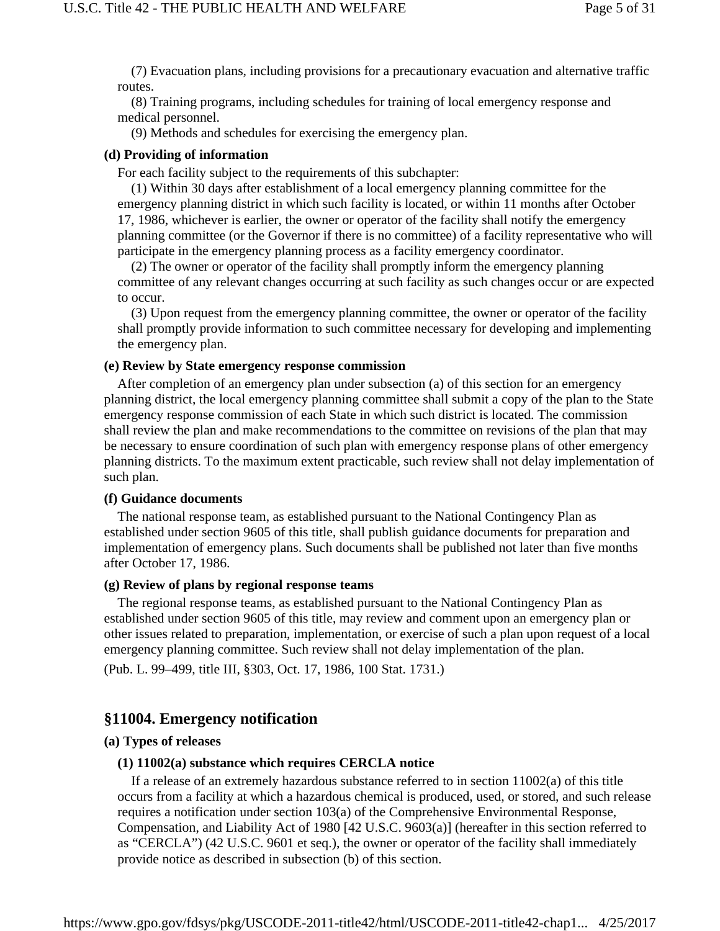(7) Evacuation plans, including provisions for a precautionary evacuation and alternative traffic routes.

(8) Training programs, including schedules for training of local emergency response and medical personnel.

(9) Methods and schedules for exercising the emergency plan.

# **(d) Providing of information**

For each facility subject to the requirements of this subchapter:

(1) Within 30 days after establishment of a local emergency planning committee for the emergency planning district in which such facility is located, or within 11 months after October 17, 1986, whichever is earlier, the owner or operator of the facility shall notify the emergency planning committee (or the Governor if there is no committee) of a facility representative who will participate in the emergency planning process as a facility emergency coordinator.

(2) The owner or operator of the facility shall promptly inform the emergency planning committee of any relevant changes occurring at such facility as such changes occur or are expected to occur.

(3) Upon request from the emergency planning committee, the owner or operator of the facility shall promptly provide information to such committee necessary for developing and implementing the emergency plan.

### **(e) Review by State emergency response commission**

After completion of an emergency plan under subsection (a) of this section for an emergency planning district, the local emergency planning committee shall submit a copy of the plan to the State emergency response commission of each State in which such district is located. The commission shall review the plan and make recommendations to the committee on revisions of the plan that may be necessary to ensure coordination of such plan with emergency response plans of other emergency planning districts. To the maximum extent practicable, such review shall not delay implementation of such plan.

#### **(f) Guidance documents**

The national response team, as established pursuant to the National Contingency Plan as established under section 9605 of this title, shall publish guidance documents for preparation and implementation of emergency plans. Such documents shall be published not later than five months after October 17, 1986.

### **(g) Review of plans by regional response teams**

The regional response teams, as established pursuant to the National Contingency Plan as established under section 9605 of this title, may review and comment upon an emergency plan or other issues related to preparation, implementation, or exercise of such a plan upon request of a local emergency planning committee. Such review shall not delay implementation of the plan. (Pub. L. 99–499, title III, §303, Oct. 17, 1986, 100 Stat. 1731.)

# **§11004. Emergency notification**

### **(a) Types of releases**

## **(1) 11002(a) substance which requires CERCLA notice**

If a release of an extremely hazardous substance referred to in section  $11002(a)$  of this title occurs from a facility at which a hazardous chemical is produced, used, or stored, and such release requires a notification under section 103(a) of the Comprehensive Environmental Response, Compensation, and Liability Act of 1980 [42 U.S.C. 9603(a)] (hereafter in this section referred to as "CERCLA") (42 U.S.C. 9601 et seq.), the owner or operator of the facility shall immediately provide notice as described in subsection (b) of this section.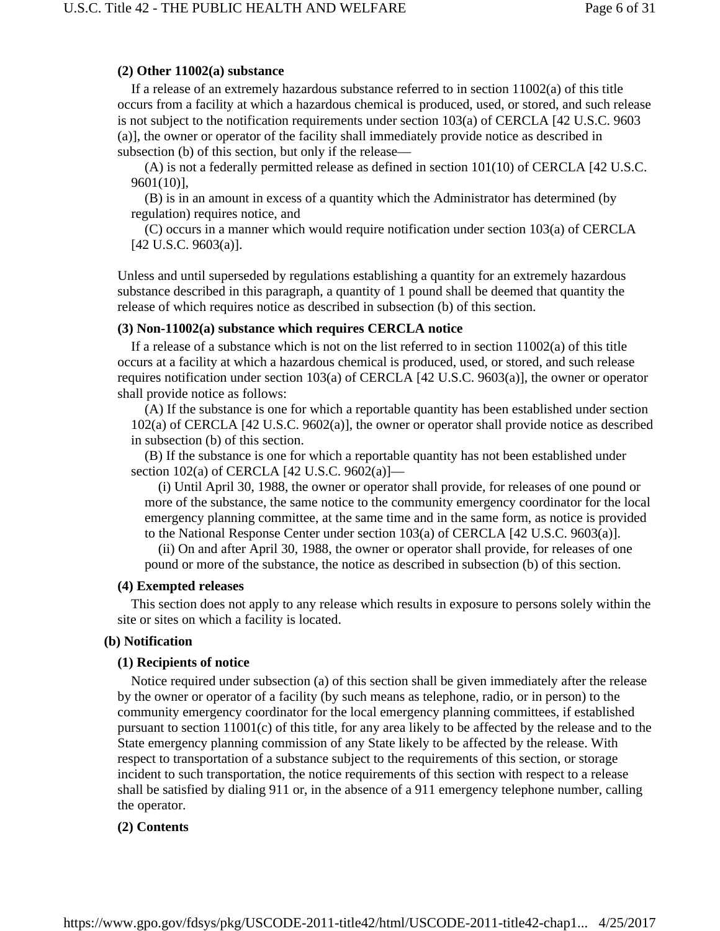# **(2) Other 11002(a) substance**

If a release of an extremely hazardous substance referred to in section  $11002(a)$  of this title occurs from a facility at which a hazardous chemical is produced, used, or stored, and such release is not subject to the notification requirements under section 103(a) of CERCLA [42 U.S.C. 9603 (a)], the owner or operator of the facility shall immediately provide notice as described in subsection (b) of this section, but only if the release—

(A) is not a federally permitted release as defined in section  $101(10)$  of CERCLA [42 U.S.C. 9601(10)],

(B) is in an amount in excess of a quantity which the Administrator has determined (by regulation) requires notice, and

(C) occurs in a manner which would require notification under section 103(a) of CERCLA  $[42 \text{ U.S.C. } 9603(a)].$ 

Unless and until superseded by regulations establishing a quantity for an extremely hazardous substance described in this paragraph, a quantity of 1 pound shall be deemed that quantity the release of which requires notice as described in subsection (b) of this section.

# **(3) Non-11002(a) substance which requires CERCLA notice**

If a release of a substance which is not on the list referred to in section  $11002(a)$  of this title occurs at a facility at which a hazardous chemical is produced, used, or stored, and such release requires notification under section 103(a) of CERCLA [42 U.S.C. 9603(a)], the owner or operator shall provide notice as follows:

(A) If the substance is one for which a reportable quantity has been established under section 102(a) of CERCLA [42 U.S.C. 9602(a)], the owner or operator shall provide notice as described in subsection (b) of this section.

(B) If the substance is one for which a reportable quantity has not been established under section 102(a) of CERCLA [42 U.S.C. 9602(a)]—

(i) Until April 30, 1988, the owner or operator shall provide, for releases of one pound or more of the substance, the same notice to the community emergency coordinator for the local emergency planning committee, at the same time and in the same form, as notice is provided to the National Response Center under section 103(a) of CERCLA [42 U.S.C. 9603(a)].

(ii) On and after April 30, 1988, the owner or operator shall provide, for releases of one pound or more of the substance, the notice as described in subsection (b) of this section.

# **(4) Exempted releases**

This section does not apply to any release which results in exposure to persons solely within the site or sites on which a facility is located.

# **(b) Notification**

# **(1) Recipients of notice**

Notice required under subsection (a) of this section shall be given immediately after the release by the owner or operator of a facility (by such means as telephone, radio, or in person) to the community emergency coordinator for the local emergency planning committees, if established pursuant to section 11001(c) of this title, for any area likely to be affected by the release and to the State emergency planning commission of any State likely to be affected by the release. With respect to transportation of a substance subject to the requirements of this section, or storage incident to such transportation, the notice requirements of this section with respect to a release shall be satisfied by dialing 911 or, in the absence of a 911 emergency telephone number, calling the operator.

# **(2) Contents**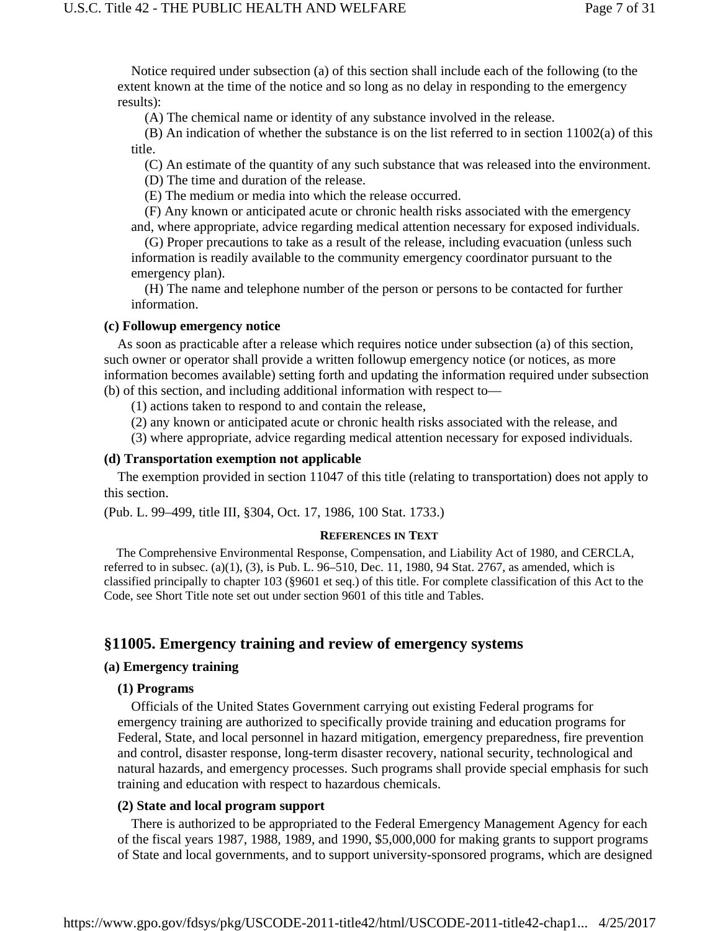Notice required under subsection (a) of this section shall include each of the following (to the extent known at the time of the notice and so long as no delay in responding to the emergency results):

(A) The chemical name or identity of any substance involved in the release.

(B) An indication of whether the substance is on the list referred to in section 11002(a) of this title.

(C) An estimate of the quantity of any such substance that was released into the environment.

(D) The time and duration of the release.

(E) The medium or media into which the release occurred.

(F) Any known or anticipated acute or chronic health risks associated with the emergency and, where appropriate, advice regarding medical attention necessary for exposed individuals.

(G) Proper precautions to take as a result of the release, including evacuation (unless such information is readily available to the community emergency coordinator pursuant to the emergency plan).

(H) The name and telephone number of the person or persons to be contacted for further information.

## **(c) Followup emergency notice**

As soon as practicable after a release which requires notice under subsection (a) of this section, such owner or operator shall provide a written followup emergency notice (or notices, as more information becomes available) setting forth and updating the information required under subsection (b) of this section, and including additional information with respect to—

(1) actions taken to respond to and contain the release,

(2) any known or anticipated acute or chronic health risks associated with the release, and

(3) where appropriate, advice regarding medical attention necessary for exposed individuals.

## **(d) Transportation exemption not applicable**

The exemption provided in section 11047 of this title (relating to transportation) does not apply to this section.

(Pub. L. 99–499, title III, §304, Oct. 17, 1986, 100 Stat. 1733.)

#### **REFERENCES IN TEXT**

The Comprehensive Environmental Response, Compensation, and Liability Act of 1980, and CERCLA, referred to in subsec. (a)(1), (3), is Pub. L. 96–510, Dec. 11, 1980, 94 Stat. 2767, as amended, which is classified principally to chapter 103 (§9601 et seq.) of this title. For complete classification of this Act to the Code, see Short Title note set out under section 9601 of this title and Tables.

# **§11005. Emergency training and review of emergency systems**

### **(a) Emergency training**

### **(1) Programs**

Officials of the United States Government carrying out existing Federal programs for emergency training are authorized to specifically provide training and education programs for Federal, State, and local personnel in hazard mitigation, emergency preparedness, fire prevention and control, disaster response, long-term disaster recovery, national security, technological and natural hazards, and emergency processes. Such programs shall provide special emphasis for such training and education with respect to hazardous chemicals.

### **(2) State and local program support**

There is authorized to be appropriated to the Federal Emergency Management Agency for each of the fiscal years 1987, 1988, 1989, and 1990, \$5,000,000 for making grants to support programs of State and local governments, and to support university-sponsored programs, which are designed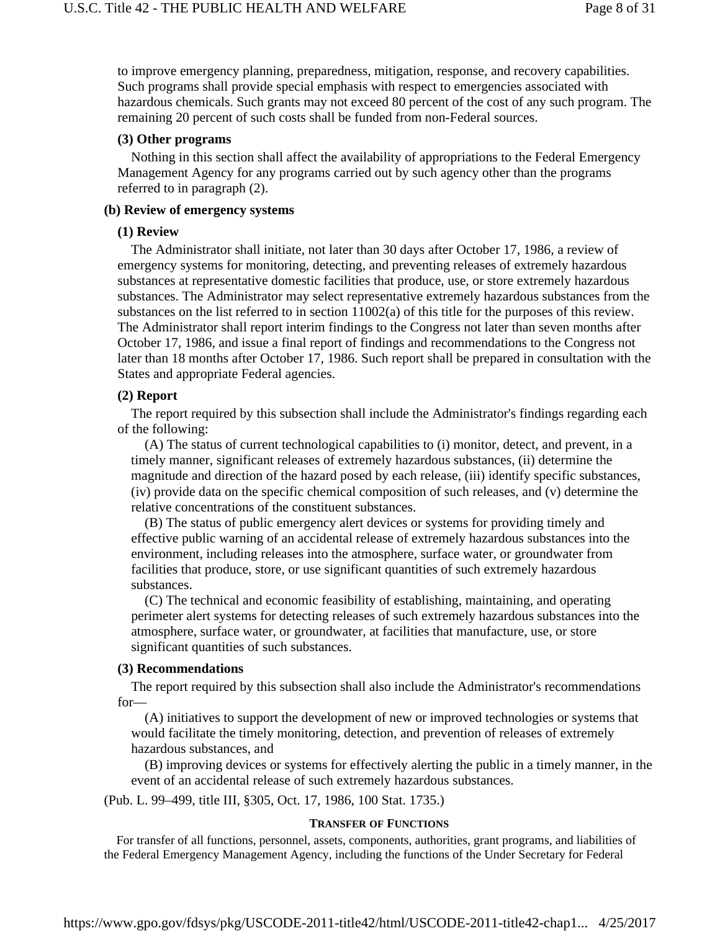to improve emergency planning, preparedness, mitigation, response, and recovery capabilities. Such programs shall provide special emphasis with respect to emergencies associated with hazardous chemicals. Such grants may not exceed 80 percent of the cost of any such program. The remaining 20 percent of such costs shall be funded from non-Federal sources.

### **(3) Other programs**

Nothing in this section shall affect the availability of appropriations to the Federal Emergency Management Agency for any programs carried out by such agency other than the programs referred to in paragraph (2).

### **(b) Review of emergency systems**

## **(1) Review**

The Administrator shall initiate, not later than 30 days after October 17, 1986, a review of emergency systems for monitoring, detecting, and preventing releases of extremely hazardous substances at representative domestic facilities that produce, use, or store extremely hazardous substances. The Administrator may select representative extremely hazardous substances from the substances on the list referred to in section 11002(a) of this title for the purposes of this review. The Administrator shall report interim findings to the Congress not later than seven months after October 17, 1986, and issue a final report of findings and recommendations to the Congress not later than 18 months after October 17, 1986. Such report shall be prepared in consultation with the States and appropriate Federal agencies.

# **(2) Report**

The report required by this subsection shall include the Administrator's findings regarding each of the following:

(A) The status of current technological capabilities to (i) monitor, detect, and prevent, in a timely manner, significant releases of extremely hazardous substances, (ii) determine the magnitude and direction of the hazard posed by each release, (iii) identify specific substances, (iv) provide data on the specific chemical composition of such releases, and (v) determine the relative concentrations of the constituent substances.

(B) The status of public emergency alert devices or systems for providing timely and effective public warning of an accidental release of extremely hazardous substances into the environment, including releases into the atmosphere, surface water, or groundwater from facilities that produce, store, or use significant quantities of such extremely hazardous substances.

(C) The technical and economic feasibility of establishing, maintaining, and operating perimeter alert systems for detecting releases of such extremely hazardous substances into the atmosphere, surface water, or groundwater, at facilities that manufacture, use, or store significant quantities of such substances.

# **(3) Recommendations**

The report required by this subsection shall also include the Administrator's recommendations for—

(A) initiatives to support the development of new or improved technologies or systems that would facilitate the timely monitoring, detection, and prevention of releases of extremely hazardous substances, and

(B) improving devices or systems for effectively alerting the public in a timely manner, in the event of an accidental release of such extremely hazardous substances.

(Pub. L. 99–499, title III, §305, Oct. 17, 1986, 100 Stat. 1735.)

## **TRANSFER OF FUNCTIONS**

For transfer of all functions, personnel, assets, components, authorities, grant programs, and liabilities of the Federal Emergency Management Agency, including the functions of the Under Secretary for Federal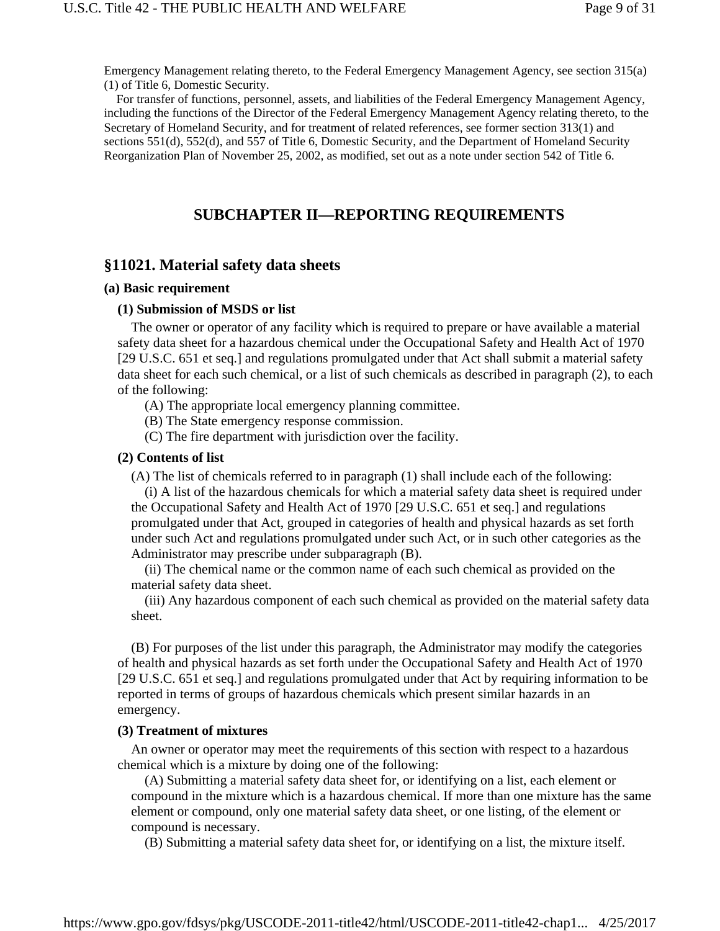Emergency Management relating thereto, to the Federal Emergency Management Agency, see section 315(a) (1) of Title 6, Domestic Security.

For transfer of functions, personnel, assets, and liabilities of the Federal Emergency Management Agency, including the functions of the Director of the Federal Emergency Management Agency relating thereto, to the Secretary of Homeland Security, and for treatment of related references, see former section 313(1) and sections 551(d), 552(d), and 557 of Title 6, Domestic Security, and the Department of Homeland Security Reorganization Plan of November 25, 2002, as modified, set out as a note under section 542 of Title 6.

# **SUBCHAPTER II—REPORTING REQUIREMENTS**

# **§11021. Material safety data sheets**

### **(a) Basic requirement**

# **(1) Submission of MSDS or list**

The owner or operator of any facility which is required to prepare or have available a material safety data sheet for a hazardous chemical under the Occupational Safety and Health Act of 1970 [29 U.S.C. 651 et seq.] and regulations promulgated under that Act shall submit a material safety data sheet for each such chemical, or a list of such chemicals as described in paragraph (2), to each of the following:

(A) The appropriate local emergency planning committee.

(B) The State emergency response commission.

(C) The fire department with jurisdiction over the facility.

### **(2) Contents of list**

(A) The list of chemicals referred to in paragraph (1) shall include each of the following:

(i) A list of the hazardous chemicals for which a material safety data sheet is required under the Occupational Safety and Health Act of 1970 [29 U.S.C. 651 et seq.] and regulations promulgated under that Act, grouped in categories of health and physical hazards as set forth under such Act and regulations promulgated under such Act, or in such other categories as the Administrator may prescribe under subparagraph (B).

(ii) The chemical name or the common name of each such chemical as provided on the material safety data sheet.

(iii) Any hazardous component of each such chemical as provided on the material safety data sheet.

(B) For purposes of the list under this paragraph, the Administrator may modify the categories of health and physical hazards as set forth under the Occupational Safety and Health Act of 1970 [29 U.S.C. 651 et seq.] and regulations promulgated under that Act by requiring information to be reported in terms of groups of hazardous chemicals which present similar hazards in an emergency.

## **(3) Treatment of mixtures**

An owner or operator may meet the requirements of this section with respect to a hazardous chemical which is a mixture by doing one of the following:

(A) Submitting a material safety data sheet for, or identifying on a list, each element or compound in the mixture which is a hazardous chemical. If more than one mixture has the same element or compound, only one material safety data sheet, or one listing, of the element or compound is necessary.

(B) Submitting a material safety data sheet for, or identifying on a list, the mixture itself.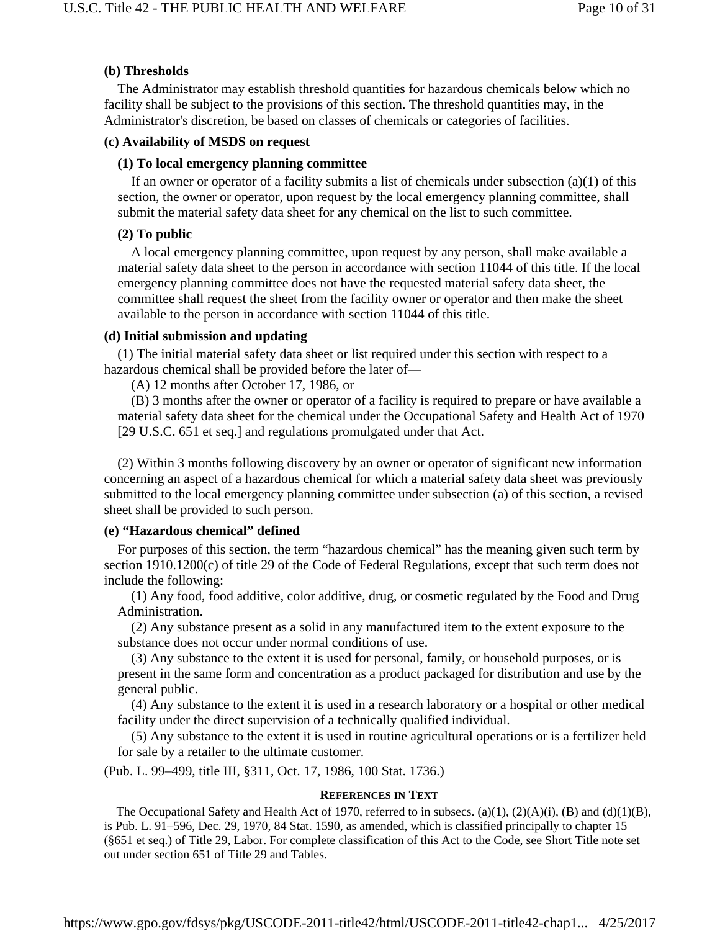# **(b) Thresholds**

The Administrator may establish threshold quantities for hazardous chemicals below which no facility shall be subject to the provisions of this section. The threshold quantities may, in the Administrator's discretion, be based on classes of chemicals or categories of facilities.

# **(c) Availability of MSDS on request**

## **(1) To local emergency planning committee**

If an owner or operator of a facility submits a list of chemicals under subsection  $(a)(1)$  of this section, the owner or operator, upon request by the local emergency planning committee, shall submit the material safety data sheet for any chemical on the list to such committee.

## **(2) To public**

A local emergency planning committee, upon request by any person, shall make available a material safety data sheet to the person in accordance with section 11044 of this title. If the local emergency planning committee does not have the requested material safety data sheet, the committee shall request the sheet from the facility owner or operator and then make the sheet available to the person in accordance with section 11044 of this title.

## **(d) Initial submission and updating**

(1) The initial material safety data sheet or list required under this section with respect to a hazardous chemical shall be provided before the later of—

(A) 12 months after October 17, 1986, or

(B) 3 months after the owner or operator of a facility is required to prepare or have available a material safety data sheet for the chemical under the Occupational Safety and Health Act of 1970 [29 U.S.C. 651 et seq.] and regulations promulgated under that Act.

(2) Within 3 months following discovery by an owner or operator of significant new information concerning an aspect of a hazardous chemical for which a material safety data sheet was previously submitted to the local emergency planning committee under subsection (a) of this section, a revised sheet shall be provided to such person.

## **(e) "Hazardous chemical" defined**

For purposes of this section, the term "hazardous chemical" has the meaning given such term by section 1910.1200(c) of title 29 of the Code of Federal Regulations, except that such term does not include the following:

(1) Any food, food additive, color additive, drug, or cosmetic regulated by the Food and Drug Administration.

(2) Any substance present as a solid in any manufactured item to the extent exposure to the substance does not occur under normal conditions of use.

(3) Any substance to the extent it is used for personal, family, or household purposes, or is present in the same form and concentration as a product packaged for distribution and use by the general public.

(4) Any substance to the extent it is used in a research laboratory or a hospital or other medical facility under the direct supervision of a technically qualified individual.

(5) Any substance to the extent it is used in routine agricultural operations or is a fertilizer held for sale by a retailer to the ultimate customer.

(Pub. L. 99–499, title III, §311, Oct. 17, 1986, 100 Stat. 1736.)

### **REFERENCES IN TEXT**

The Occupational Safety and Health Act of 1970, referred to in subsecs. (a)(1), (2)(A)(i), (B) and (d)(1)(B), is Pub. L. 91–596, Dec. 29, 1970, 84 Stat. 1590, as amended, which is classified principally to chapter 15 (§651 et seq.) of Title 29, Labor. For complete classification of this Act to the Code, see Short Title note set out under section 651 of Title 29 and Tables.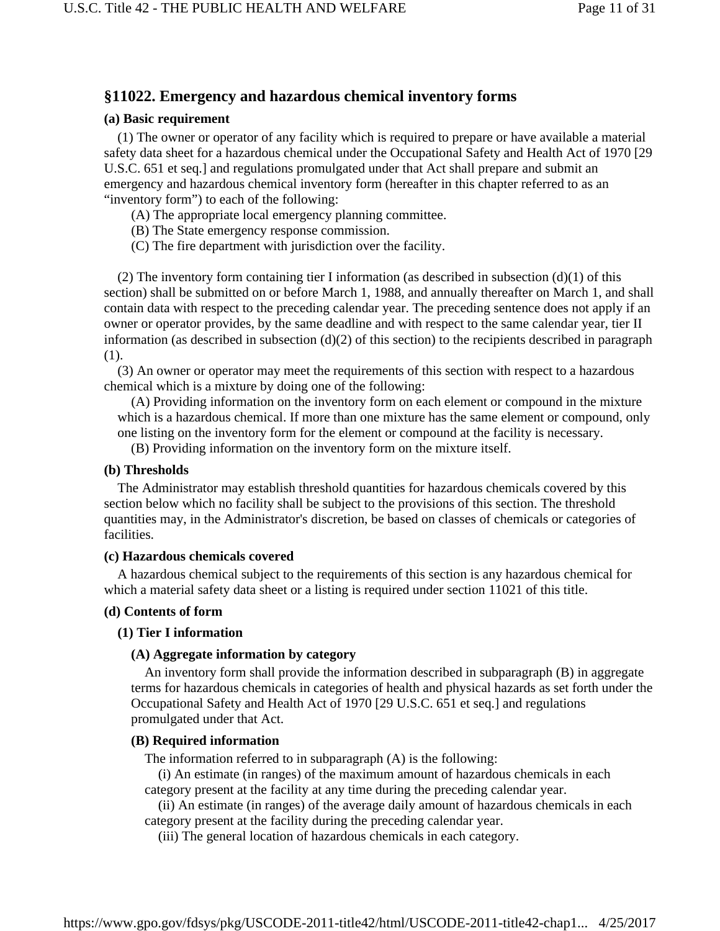# **§11022. Emergency and hazardous chemical inventory forms**

# **(a) Basic requirement**

(1) The owner or operator of any facility which is required to prepare or have available a material safety data sheet for a hazardous chemical under the Occupational Safety and Health Act of 1970 [29 U.S.C. 651 et seq.] and regulations promulgated under that Act shall prepare and submit an emergency and hazardous chemical inventory form (hereafter in this chapter referred to as an "inventory form") to each of the following:

- (A) The appropriate local emergency planning committee.
- (B) The State emergency response commission.
- (C) The fire department with jurisdiction over the facility.

(2) The inventory form containing tier I information (as described in subsection (d)(1) of this section) shall be submitted on or before March 1, 1988, and annually thereafter on March 1, and shall contain data with respect to the preceding calendar year. The preceding sentence does not apply if an owner or operator provides, by the same deadline and with respect to the same calendar year, tier II information (as described in subsection  $(d)(2)$  of this section) to the recipients described in paragraph (1).

(3) An owner or operator may meet the requirements of this section with respect to a hazardous chemical which is a mixture by doing one of the following:

(A) Providing information on the inventory form on each element or compound in the mixture which is a hazardous chemical. If more than one mixture has the same element or compound, only one listing on the inventory form for the element or compound at the facility is necessary.

(B) Providing information on the inventory form on the mixture itself.

# **(b) Thresholds**

The Administrator may establish threshold quantities for hazardous chemicals covered by this section below which no facility shall be subject to the provisions of this section. The threshold quantities may, in the Administrator's discretion, be based on classes of chemicals or categories of facilities.

# **(c) Hazardous chemicals covered**

A hazardous chemical subject to the requirements of this section is any hazardous chemical for which a material safety data sheet or a listing is required under section 11021 of this title.

# **(d) Contents of form**

# **(1) Tier I information**

# **(A) Aggregate information by category**

An inventory form shall provide the information described in subparagraph (B) in aggregate terms for hazardous chemicals in categories of health and physical hazards as set forth under the Occupational Safety and Health Act of 1970 [29 U.S.C. 651 et seq.] and regulations promulgated under that Act.

# **(B) Required information**

The information referred to in subparagraph (A) is the following:

(i) An estimate (in ranges) of the maximum amount of hazardous chemicals in each category present at the facility at any time during the preceding calendar year.

(ii) An estimate (in ranges) of the average daily amount of hazardous chemicals in each category present at the facility during the preceding calendar year.

(iii) The general location of hazardous chemicals in each category.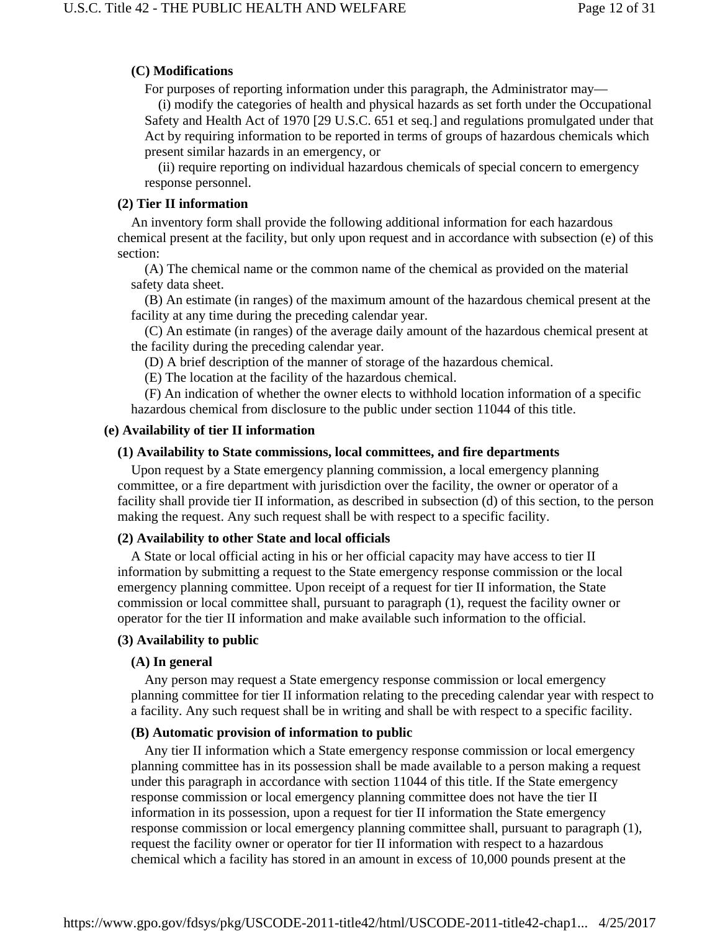# **(C) Modifications**

For purposes of reporting information under this paragraph, the Administrator may—

(i) modify the categories of health and physical hazards as set forth under the Occupational Safety and Health Act of 1970 [29 U.S.C. 651 et seq.] and regulations promulgated under that Act by requiring information to be reported in terms of groups of hazardous chemicals which present similar hazards in an emergency, or

(ii) require reporting on individual hazardous chemicals of special concern to emergency response personnel.

## **(2) Tier II information**

An inventory form shall provide the following additional information for each hazardous chemical present at the facility, but only upon request and in accordance with subsection (e) of this section:

(A) The chemical name or the common name of the chemical as provided on the material safety data sheet.

(B) An estimate (in ranges) of the maximum amount of the hazardous chemical present at the facility at any time during the preceding calendar year.

(C) An estimate (in ranges) of the average daily amount of the hazardous chemical present at the facility during the preceding calendar year.

(D) A brief description of the manner of storage of the hazardous chemical.

(E) The location at the facility of the hazardous chemical.

(F) An indication of whether the owner elects to withhold location information of a specific hazardous chemical from disclosure to the public under section 11044 of this title.

## **(e) Availability of tier II information**

## **(1) Availability to State commissions, local committees, and fire departments**

Upon request by a State emergency planning commission, a local emergency planning committee, or a fire department with jurisdiction over the facility, the owner or operator of a facility shall provide tier II information, as described in subsection (d) of this section, to the person making the request. Any such request shall be with respect to a specific facility.

## **(2) Availability to other State and local officials**

A State or local official acting in his or her official capacity may have access to tier II information by submitting a request to the State emergency response commission or the local emergency planning committee. Upon receipt of a request for tier II information, the State commission or local committee shall, pursuant to paragraph (1), request the facility owner or operator for the tier II information and make available such information to the official.

### **(3) Availability to public**

### **(A) In general**

Any person may request a State emergency response commission or local emergency planning committee for tier II information relating to the preceding calendar year with respect to a facility. Any such request shall be in writing and shall be with respect to a specific facility.

### **(B) Automatic provision of information to public**

Any tier II information which a State emergency response commission or local emergency planning committee has in its possession shall be made available to a person making a request under this paragraph in accordance with section 11044 of this title. If the State emergency response commission or local emergency planning committee does not have the tier II information in its possession, upon a request for tier II information the State emergency response commission or local emergency planning committee shall, pursuant to paragraph (1), request the facility owner or operator for tier II information with respect to a hazardous chemical which a facility has stored in an amount in excess of 10,000 pounds present at the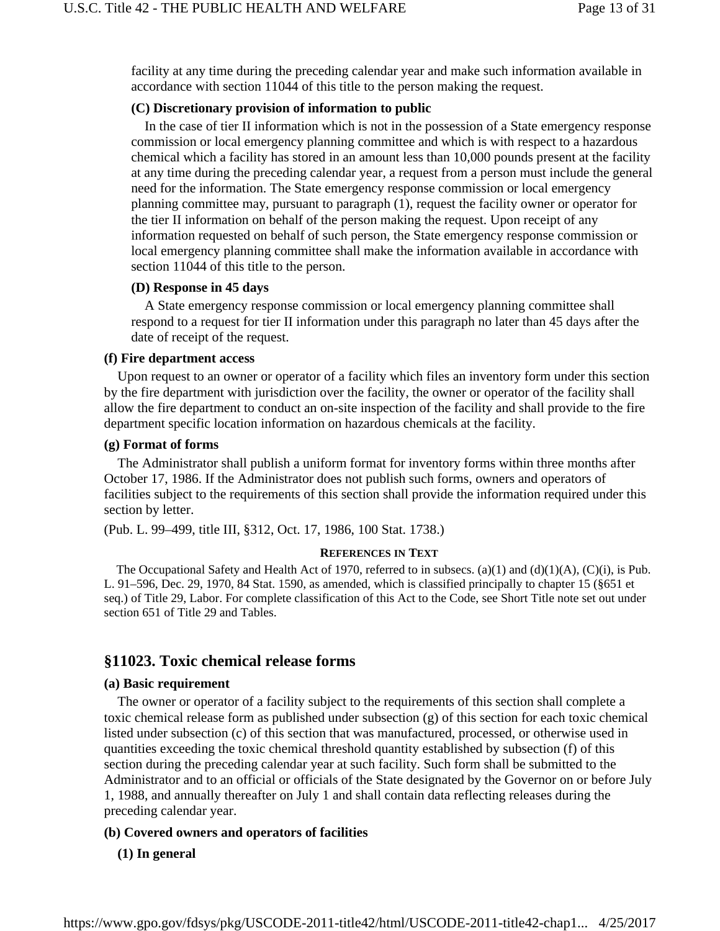facility at any time during the preceding calendar year and make such information available in accordance with section 11044 of this title to the person making the request.

# **(C) Discretionary provision of information to public**

In the case of tier II information which is not in the possession of a State emergency response commission or local emergency planning committee and which is with respect to a hazardous chemical which a facility has stored in an amount less than 10,000 pounds present at the facility at any time during the preceding calendar year, a request from a person must include the general need for the information. The State emergency response commission or local emergency planning committee may, pursuant to paragraph (1), request the facility owner or operator for the tier II information on behalf of the person making the request. Upon receipt of any information requested on behalf of such person, the State emergency response commission or local emergency planning committee shall make the information available in accordance with section 11044 of this title to the person.

# **(D) Response in 45 days**

A State emergency response commission or local emergency planning committee shall respond to a request for tier II information under this paragraph no later than 45 days after the date of receipt of the request.

# **(f) Fire department access**

Upon request to an owner or operator of a facility which files an inventory form under this section by the fire department with jurisdiction over the facility, the owner or operator of the facility shall allow the fire department to conduct an on-site inspection of the facility and shall provide to the fire department specific location information on hazardous chemicals at the facility.

# **(g) Format of forms**

The Administrator shall publish a uniform format for inventory forms within three months after October 17, 1986. If the Administrator does not publish such forms, owners and operators of facilities subject to the requirements of this section shall provide the information required under this section by letter.

(Pub. L. 99–499, title III, §312, Oct. 17, 1986, 100 Stat. 1738.)

# **REFERENCES IN TEXT**

The Occupational Safety and Health Act of 1970, referred to in subsecs. (a)(1) and (d)(1)(A), (C)(i), is Pub. L. 91–596, Dec. 29, 1970, 84 Stat. 1590, as amended, which is classified principally to chapter 15 (§651 et seq.) of Title 29, Labor. For complete classification of this Act to the Code, see Short Title note set out under section 651 of Title 29 and Tables.

# **§11023. Toxic chemical release forms**

# **(a) Basic requirement**

The owner or operator of a facility subject to the requirements of this section shall complete a toxic chemical release form as published under subsection (g) of this section for each toxic chemical listed under subsection (c) of this section that was manufactured, processed, or otherwise used in quantities exceeding the toxic chemical threshold quantity established by subsection (f) of this section during the preceding calendar year at such facility. Such form shall be submitted to the Administrator and to an official or officials of the State designated by the Governor on or before July 1, 1988, and annually thereafter on July 1 and shall contain data reflecting releases during the preceding calendar year.

# **(b) Covered owners and operators of facilities**

# **(1) In general**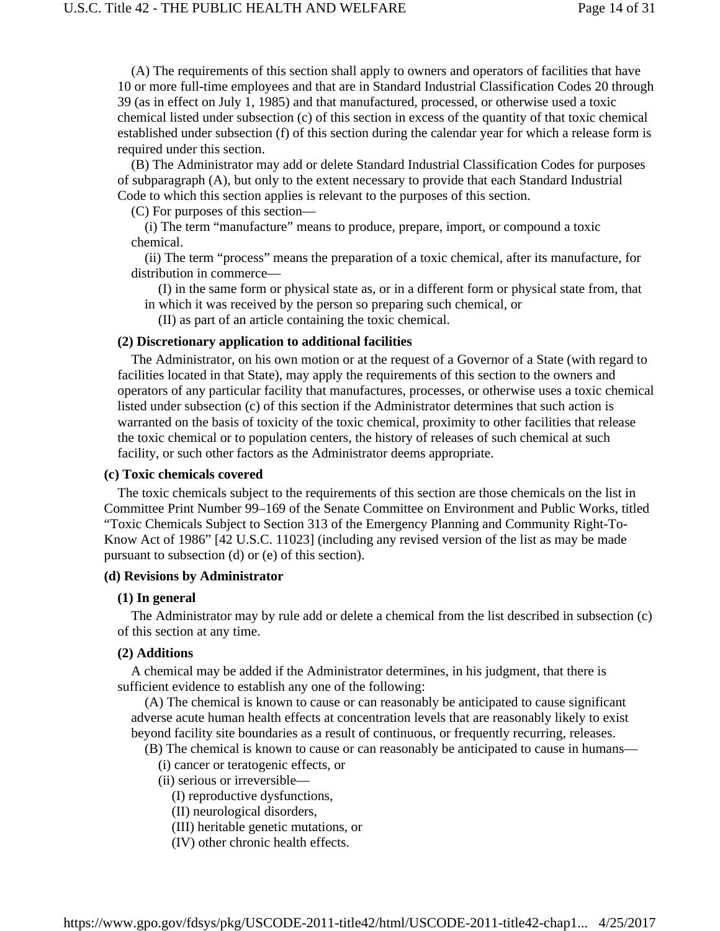(A) The requirements of this section shall apply to owners and operators of facilities that have 10 or more full-time employees and that are in Standard Industrial Classification Codes 20 through 39 (as in effect on July 1, 1985) and that manufactured, processed, or otherwise used a toxic chemical listed under subsection (c) of this section in excess of the quantity of that toxic chemical established under subsection (f) of this section during the calendar year for which a release form is required under this section.

(B) The Administrator may add or delete Standard Industrial Classification Codes for purposes of subparagraph (A), but only to the extent necessary to provide that each Standard Industrial Code to which this section applies is relevant to the purposes of this section.

(C) For purposes of this section—

(i) The term "manufacture" means to produce, prepare, import, or compound a toxic chemical.

(ii) The term "process" means the preparation of a toxic chemical, after its manufacture, for distribution in commerce—

(I) in the same form or physical state as, or in a different form or physical state from, that in which it was received by the person so preparing such chemical, or

(II) as part of an article containing the toxic chemical.

# **(2) Discretionary application to additional facilities**

The Administrator, on his own motion or at the request of a Governor of a State (with regard to facilities located in that State), may apply the requirements of this section to the owners and operators of any particular facility that manufactures, processes, or otherwise uses a toxic chemical listed under subsection (c) of this section if the Administrator determines that such action is warranted on the basis of toxicity of the toxic chemical, proximity to other facilities that release the toxic chemical or to population centers, the history of releases of such chemical at such facility, or such other factors as the Administrator deems appropriate.

### **(c) Toxic chemicals covered**

The toxic chemicals subject to the requirements of this section are those chemicals on the list in Committee Print Number 99–169 of the Senate Committee on Environment and Public Works, titled "Toxic Chemicals Subject to Section 313 of the Emergency Planning and Community Right-To-Know Act of 1986" [42 U.S.C. 11023] (including any revised version of the list as may be made pursuant to subsection (d) or (e) of this section).

### **(d) Revisions by Administrator**

### **(1) In general**

The Administrator may by rule add or delete a chemical from the list described in subsection (c) of this section at any time.

## **(2) Additions**

A chemical may be added if the Administrator determines, in his judgment, that there is sufficient evidence to establish any one of the following:

(A) The chemical is known to cause or can reasonably be anticipated to cause significant adverse acute human health effects at concentration levels that are reasonably likely to exist beyond facility site boundaries as a result of continuous, or frequently recurring, releases.

(B) The chemical is known to cause or can reasonably be anticipated to cause in humans—

(i) cancer or teratogenic effects, or

(ii) serious or irreversible—

(I) reproductive dysfunctions,

(II) neurological disorders,

- (III) heritable genetic mutations, or
- (IV) other chronic health effects.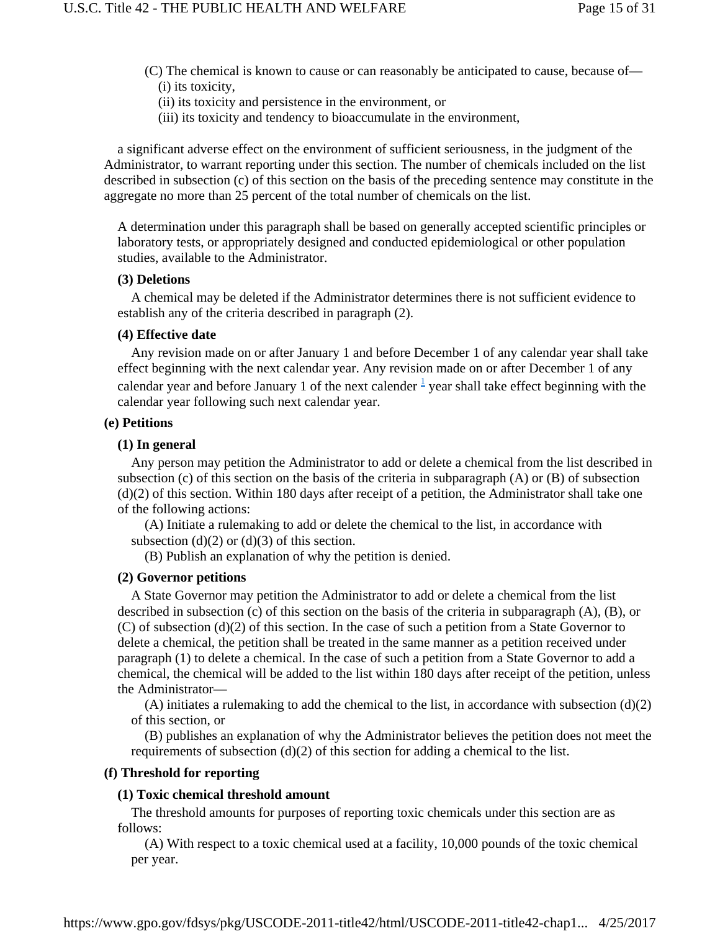- (C) The chemical is known to cause or can reasonably be anticipated to cause, because of— (i) its toxicity,
	- (ii) its toxicity and persistence in the environment, or
	- (iii) its toxicity and tendency to bioaccumulate in the environment,

a significant adverse effect on the environment of sufficient seriousness, in the judgment of the Administrator, to warrant reporting under this section. The number of chemicals included on the list described in subsection (c) of this section on the basis of the preceding sentence may constitute in the aggregate no more than 25 percent of the total number of chemicals on the list.

A determination under this paragraph shall be based on generally accepted scientific principles or laboratory tests, or appropriately designed and conducted epidemiological or other population studies, available to the Administrator.

# **(3) Deletions**

A chemical may be deleted if the Administrator determines there is not sufficient evidence to establish any of the criteria described in paragraph (2).

# **(4) Effective date**

Any revision made on or after January 1 and before December 1 of any calendar year shall take effect beginning with the next calendar year. Any revision made on or after December 1 of any calendar year and before January 1 of the next calender  $\frac{1}{2}$  year shall take effect beginning with the calendar year following such next calendar year.

# **(e) Petitions**

# **(1) In general**

Any person may petition the Administrator to add or delete a chemical from the list described in subsection (c) of this section on the basis of the criteria in subparagraph (A) or (B) of subsection (d)(2) of this section. Within 180 days after receipt of a petition, the Administrator shall take one of the following actions:

(A) Initiate a rulemaking to add or delete the chemical to the list, in accordance with subsection (d)(2) or (d)(3) of this section.

(B) Publish an explanation of why the petition is denied.

# **(2) Governor petitions**

A State Governor may petition the Administrator to add or delete a chemical from the list described in subsection (c) of this section on the basis of the criteria in subparagraph (A), (B), or (C) of subsection (d)(2) of this section. In the case of such a petition from a State Governor to delete a chemical, the petition shall be treated in the same manner as a petition received under paragraph (1) to delete a chemical. In the case of such a petition from a State Governor to add a chemical, the chemical will be added to the list within 180 days after receipt of the petition, unless the Administrator—

(A) initiates a rulemaking to add the chemical to the list, in accordance with subsection  $(d)(2)$ of this section, or

(B) publishes an explanation of why the Administrator believes the petition does not meet the requirements of subsection (d)(2) of this section for adding a chemical to the list.

# **(f) Threshold for reporting**

# **(1) Toxic chemical threshold amount**

The threshold amounts for purposes of reporting toxic chemicals under this section are as follows:

(A) With respect to a toxic chemical used at a facility, 10,000 pounds of the toxic chemical per year.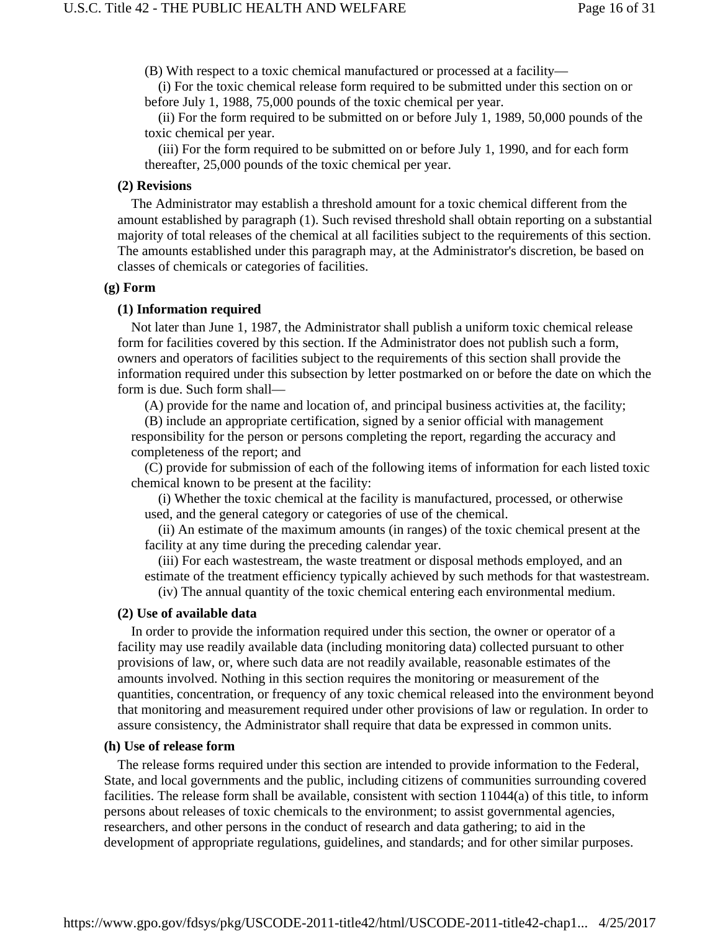(B) With respect to a toxic chemical manufactured or processed at a facility—

(i) For the toxic chemical release form required to be submitted under this section on or before July 1, 1988, 75,000 pounds of the toxic chemical per year.

(ii) For the form required to be submitted on or before July 1, 1989, 50,000 pounds of the toxic chemical per year.

(iii) For the form required to be submitted on or before July 1, 1990, and for each form thereafter, 25,000 pounds of the toxic chemical per year.

# **(2) Revisions**

The Administrator may establish a threshold amount for a toxic chemical different from the amount established by paragraph (1). Such revised threshold shall obtain reporting on a substantial majority of total releases of the chemical at all facilities subject to the requirements of this section. The amounts established under this paragraph may, at the Administrator's discretion, be based on classes of chemicals or categories of facilities.

## **(g) Form**

# **(1) Information required**

Not later than June 1, 1987, the Administrator shall publish a uniform toxic chemical release form for facilities covered by this section. If the Administrator does not publish such a form, owners and operators of facilities subject to the requirements of this section shall provide the information required under this subsection by letter postmarked on or before the date on which the form is due. Such form shall—

(A) provide for the name and location of, and principal business activities at, the facility;

(B) include an appropriate certification, signed by a senior official with management responsibility for the person or persons completing the report, regarding the accuracy and completeness of the report; and

(C) provide for submission of each of the following items of information for each listed toxic chemical known to be present at the facility:

(i) Whether the toxic chemical at the facility is manufactured, processed, or otherwise used, and the general category or categories of use of the chemical.

(ii) An estimate of the maximum amounts (in ranges) of the toxic chemical present at the facility at any time during the preceding calendar year.

(iii) For each wastestream, the waste treatment or disposal methods employed, and an estimate of the treatment efficiency typically achieved by such methods for that wastestream. (iv) The annual quantity of the toxic chemical entering each environmental medium.

### **(2) Use of available data**

In order to provide the information required under this section, the owner or operator of a facility may use readily available data (including monitoring data) collected pursuant to other provisions of law, or, where such data are not readily available, reasonable estimates of the amounts involved. Nothing in this section requires the monitoring or measurement of the quantities, concentration, or frequency of any toxic chemical released into the environment beyond that monitoring and measurement required under other provisions of law or regulation. In order to assure consistency, the Administrator shall require that data be expressed in common units.

### **(h) Use of release form**

The release forms required under this section are intended to provide information to the Federal, State, and local governments and the public, including citizens of communities surrounding covered facilities. The release form shall be available, consistent with section 11044(a) of this title, to inform persons about releases of toxic chemicals to the environment; to assist governmental agencies, researchers, and other persons in the conduct of research and data gathering; to aid in the development of appropriate regulations, guidelines, and standards; and for other similar purposes.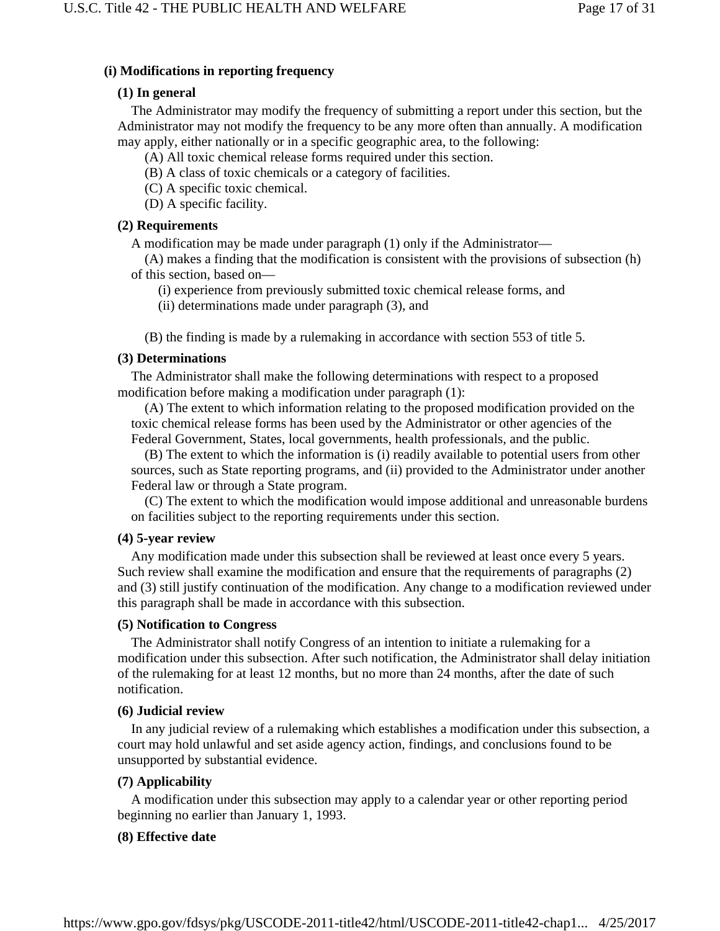# **(i) Modifications in reporting frequency**

# **(1) In general**

The Administrator may modify the frequency of submitting a report under this section, but the Administrator may not modify the frequency to be any more often than annually. A modification may apply, either nationally or in a specific geographic area, to the following:

(A) All toxic chemical release forms required under this section.

(B) A class of toxic chemicals or a category of facilities.

(C) A specific toxic chemical.

(D) A specific facility.

# **(2) Requirements**

A modification may be made under paragraph (1) only if the Administrator—

(A) makes a finding that the modification is consistent with the provisions of subsection (h) of this section, based on—

(i) experience from previously submitted toxic chemical release forms, and

(ii) determinations made under paragraph (3), and

(B) the finding is made by a rulemaking in accordance with section 553 of title 5.

# **(3) Determinations**

The Administrator shall make the following determinations with respect to a proposed modification before making a modification under paragraph (1):

(A) The extent to which information relating to the proposed modification provided on the toxic chemical release forms has been used by the Administrator or other agencies of the Federal Government, States, local governments, health professionals, and the public.

(B) The extent to which the information is (i) readily available to potential users from other sources, such as State reporting programs, and (ii) provided to the Administrator under another Federal law or through a State program.

(C) The extent to which the modification would impose additional and unreasonable burdens on facilities subject to the reporting requirements under this section.

# **(4) 5-year review**

Any modification made under this subsection shall be reviewed at least once every 5 years. Such review shall examine the modification and ensure that the requirements of paragraphs (2) and (3) still justify continuation of the modification. Any change to a modification reviewed under this paragraph shall be made in accordance with this subsection.

# **(5) Notification to Congress**

The Administrator shall notify Congress of an intention to initiate a rulemaking for a modification under this subsection. After such notification, the Administrator shall delay initiation of the rulemaking for at least 12 months, but no more than 24 months, after the date of such notification.

# **(6) Judicial review**

In any judicial review of a rulemaking which establishes a modification under this subsection, a court may hold unlawful and set aside agency action, findings, and conclusions found to be unsupported by substantial evidence.

# **(7) Applicability**

A modification under this subsection may apply to a calendar year or other reporting period beginning no earlier than January 1, 1993.

# **(8) Effective date**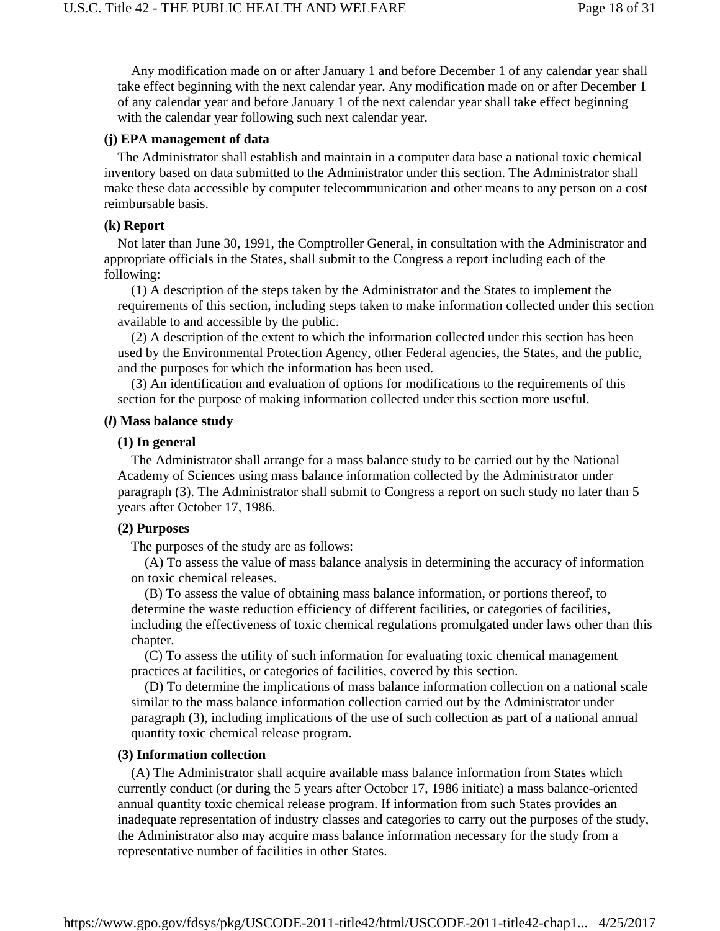Any modification made on or after January 1 and before December 1 of any calendar year shall take effect beginning with the next calendar year. Any modification made on or after December 1 of any calendar year and before January 1 of the next calendar year shall take effect beginning with the calendar year following such next calendar year.

### **(j) EPA management of data**

The Administrator shall establish and maintain in a computer data base a national toxic chemical inventory based on data submitted to the Administrator under this section. The Administrator shall make these data accessible by computer telecommunication and other means to any person on a cost reimbursable basis.

### **(k) Report**

Not later than June 30, 1991, the Comptroller General, in consultation with the Administrator and appropriate officials in the States, shall submit to the Congress a report including each of the following:

(1) A description of the steps taken by the Administrator and the States to implement the requirements of this section, including steps taken to make information collected under this section available to and accessible by the public.

(2) A description of the extent to which the information collected under this section has been used by the Environmental Protection Agency, other Federal agencies, the States, and the public, and the purposes for which the information has been used.

(3) An identification and evaluation of options for modifications to the requirements of this section for the purpose of making information collected under this section more useful.

#### **(***l***) Mass balance study**

#### **(1) In general**

The Administrator shall arrange for a mass balance study to be carried out by the National Academy of Sciences using mass balance information collected by the Administrator under paragraph (3). The Administrator shall submit to Congress a report on such study no later than 5 years after October 17, 1986.

## **(2) Purposes**

The purposes of the study are as follows:

(A) To assess the value of mass balance analysis in determining the accuracy of information on toxic chemical releases.

(B) To assess the value of obtaining mass balance information, or portions thereof, to determine the waste reduction efficiency of different facilities, or categories of facilities, including the effectiveness of toxic chemical regulations promulgated under laws other than this chapter.

(C) To assess the utility of such information for evaluating toxic chemical management practices at facilities, or categories of facilities, covered by this section.

(D) To determine the implications of mass balance information collection on a national scale similar to the mass balance information collection carried out by the Administrator under paragraph (3), including implications of the use of such collection as part of a national annual quantity toxic chemical release program.

#### **(3) Information collection**

(A) The Administrator shall acquire available mass balance information from States which currently conduct (or during the 5 years after October 17, 1986 initiate) a mass balance-oriented annual quantity toxic chemical release program. If information from such States provides an inadequate representation of industry classes and categories to carry out the purposes of the study, the Administrator also may acquire mass balance information necessary for the study from a representative number of facilities in other States.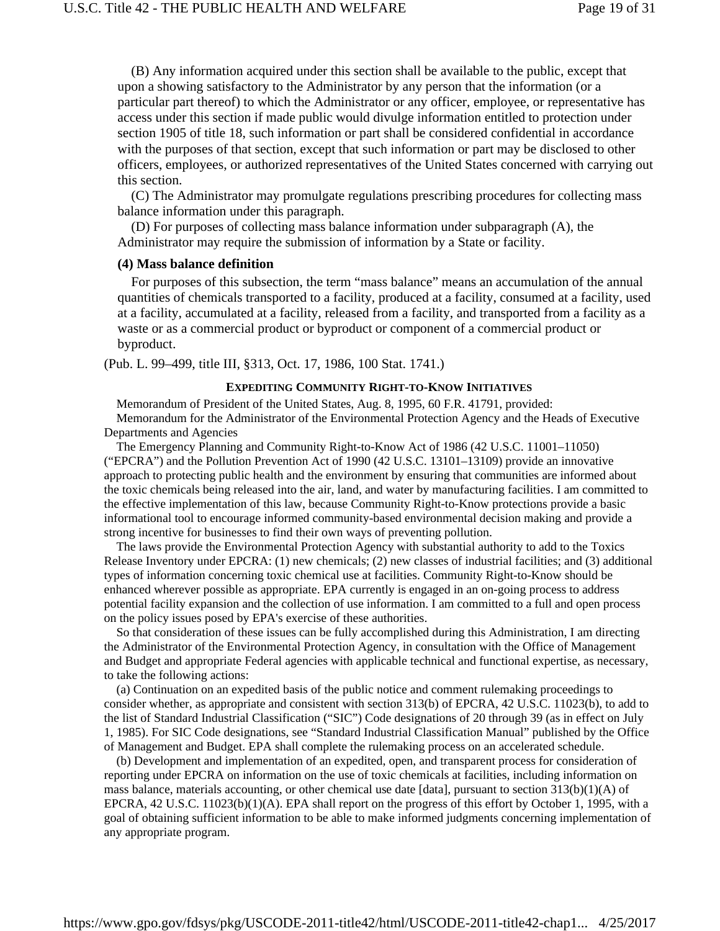(B) Any information acquired under this section shall be available to the public, except that upon a showing satisfactory to the Administrator by any person that the information (or a particular part thereof) to which the Administrator or any officer, employee, or representative has access under this section if made public would divulge information entitled to protection under section 1905 of title 18, such information or part shall be considered confidential in accordance with the purposes of that section, except that such information or part may be disclosed to other officers, employees, or authorized representatives of the United States concerned with carrying out this section.

(C) The Administrator may promulgate regulations prescribing procedures for collecting mass balance information under this paragraph.

(D) For purposes of collecting mass balance information under subparagraph (A), the Administrator may require the submission of information by a State or facility.

#### **(4) Mass balance definition**

For purposes of this subsection, the term "mass balance" means an accumulation of the annual quantities of chemicals transported to a facility, produced at a facility, consumed at a facility, used at a facility, accumulated at a facility, released from a facility, and transported from a facility as a waste or as a commercial product or byproduct or component of a commercial product or byproduct.

(Pub. L. 99–499, title III, §313, Oct. 17, 1986, 100 Stat. 1741.)

### **EXPEDITING COMMUNITY RIGHT-TO-KNOW INITIATIVES**

Memorandum of President of the United States, Aug. 8, 1995, 60 F.R. 41791, provided: Memorandum for the Administrator of the Environmental Protection Agency and the Heads of Executive Departments and Agencies

The Emergency Planning and Community Right-to-Know Act of 1986 (42 U.S.C. 11001–11050) ("EPCRA") and the Pollution Prevention Act of 1990 (42 U.S.C. 13101–13109) provide an innovative approach to protecting public health and the environment by ensuring that communities are informed about the toxic chemicals being released into the air, land, and water by manufacturing facilities. I am committed to the effective implementation of this law, because Community Right-to-Know protections provide a basic informational tool to encourage informed community-based environmental decision making and provide a strong incentive for businesses to find their own ways of preventing pollution.

The laws provide the Environmental Protection Agency with substantial authority to add to the Toxics Release Inventory under EPCRA: (1) new chemicals; (2) new classes of industrial facilities; and (3) additional types of information concerning toxic chemical use at facilities. Community Right-to-Know should be enhanced wherever possible as appropriate. EPA currently is engaged in an on-going process to address potential facility expansion and the collection of use information. I am committed to a full and open process on the policy issues posed by EPA's exercise of these authorities.

So that consideration of these issues can be fully accomplished during this Administration, I am directing the Administrator of the Environmental Protection Agency, in consultation with the Office of Management and Budget and appropriate Federal agencies with applicable technical and functional expertise, as necessary, to take the following actions:

(a) Continuation on an expedited basis of the public notice and comment rulemaking proceedings to consider whether, as appropriate and consistent with section 313(b) of EPCRA, 42 U.S.C. 11023(b), to add to the list of Standard Industrial Classification ("SIC") Code designations of 20 through 39 (as in effect on July 1, 1985). For SIC Code designations, see "Standard Industrial Classification Manual" published by the Office of Management and Budget. EPA shall complete the rulemaking process on an accelerated schedule.

(b) Development and implementation of an expedited, open, and transparent process for consideration of reporting under EPCRA on information on the use of toxic chemicals at facilities, including information on mass balance, materials accounting, or other chemical use date [data], pursuant to section 313(b)(1)(A) of EPCRA, 42 U.S.C. 11023(b)(1)(A). EPA shall report on the progress of this effort by October 1, 1995, with a goal of obtaining sufficient information to be able to make informed judgments concerning implementation of any appropriate program.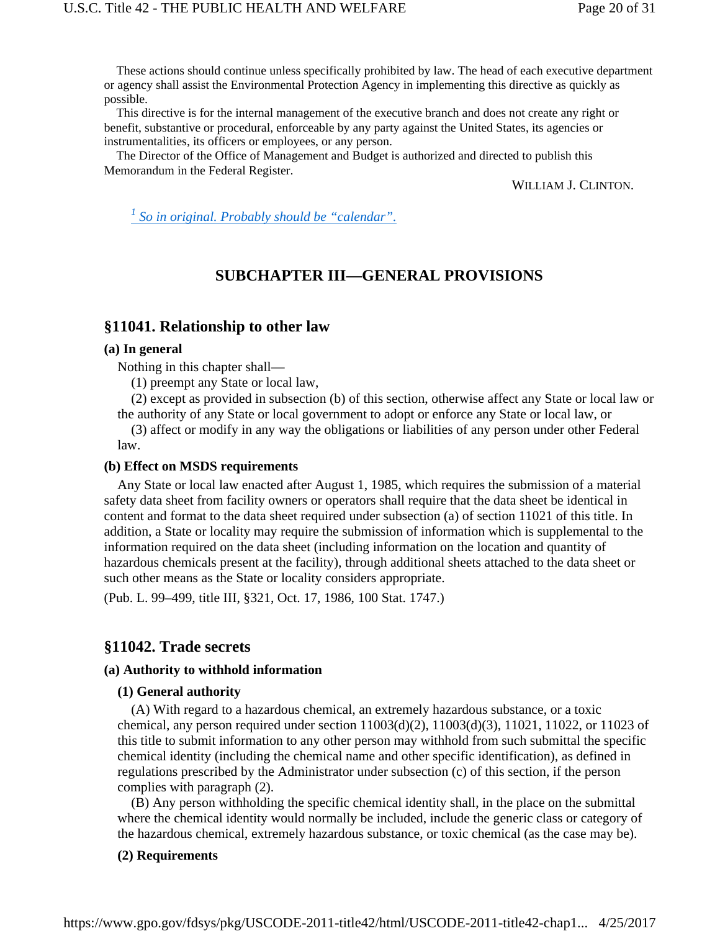These actions should continue unless specifically prohibited by law. The head of each executive department or agency shall assist the Environmental Protection Agency in implementing this directive as quickly as possible.

This directive is for the internal management of the executive branch and does not create any right or benefit, substantive or procedural, enforceable by any party against the United States, its agencies or instrumentalities, its officers or employees, or any person.

The Director of the Office of Management and Budget is authorized and directed to publish this Memorandum in the Federal Register.

WILLIAM J. CLINTON.

*1 So in original. Probably should be "calendar".*

# **SUBCHAPTER III—GENERAL PROVISIONS**

# **§11041. Relationship to other law**

### **(a) In general**

Nothing in this chapter shall—

(1) preempt any State or local law,

(2) except as provided in subsection (b) of this section, otherwise affect any State or local law or the authority of any State or local government to adopt or enforce any State or local law, or

(3) affect or modify in any way the obligations or liabilities of any person under other Federal law.

### **(b) Effect on MSDS requirements**

Any State or local law enacted after August 1, 1985, which requires the submission of a material safety data sheet from facility owners or operators shall require that the data sheet be identical in content and format to the data sheet required under subsection (a) of section 11021 of this title. In addition, a State or locality may require the submission of information which is supplemental to the information required on the data sheet (including information on the location and quantity of hazardous chemicals present at the facility), through additional sheets attached to the data sheet or such other means as the State or locality considers appropriate.

(Pub. L. 99–499, title III, §321, Oct. 17, 1986, 100 Stat. 1747.)

# **§11042. Trade secrets**

#### **(a) Authority to withhold information**

## **(1) General authority**

(A) With regard to a hazardous chemical, an extremely hazardous substance, or a toxic chemical, any person required under section  $11003(d)(2)$ ,  $11003(d)(3)$ ,  $11021$ ,  $11022$ , or  $11023$  of this title to submit information to any other person may withhold from such submittal the specific chemical identity (including the chemical name and other specific identification), as defined in regulations prescribed by the Administrator under subsection (c) of this section, if the person complies with paragraph (2).

(B) Any person withholding the specific chemical identity shall, in the place on the submittal where the chemical identity would normally be included, include the generic class or category of the hazardous chemical, extremely hazardous substance, or toxic chemical (as the case may be).

### **(2) Requirements**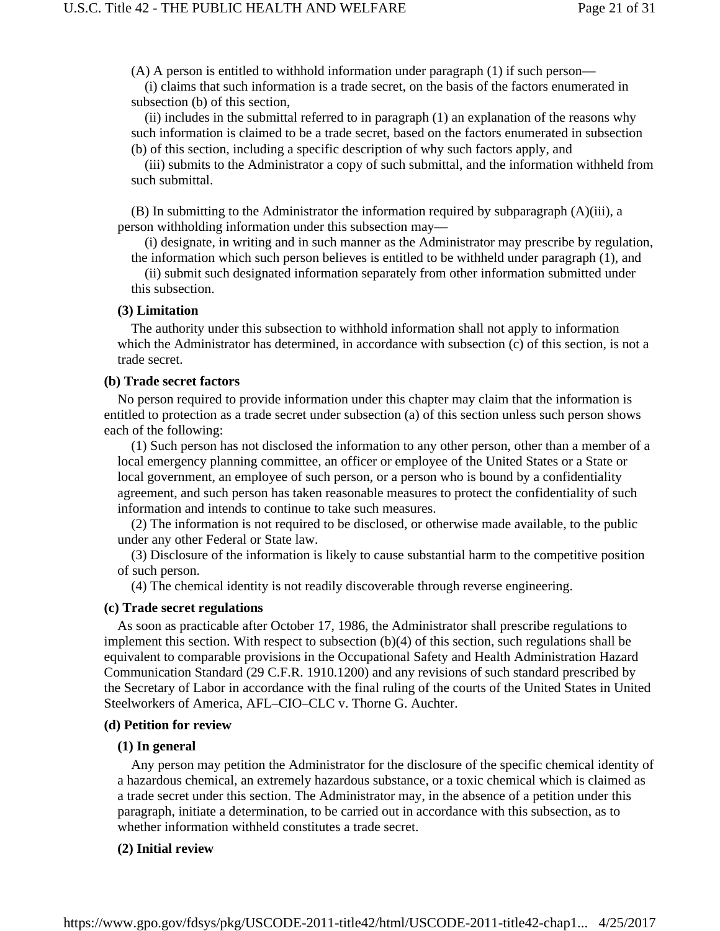(A) A person is entitled to withhold information under paragraph (1) if such person—

(i) claims that such information is a trade secret, on the basis of the factors enumerated in subsection (b) of this section,

(ii) includes in the submittal referred to in paragraph (1) an explanation of the reasons why such information is claimed to be a trade secret, based on the factors enumerated in subsection (b) of this section, including a specific description of why such factors apply, and

(iii) submits to the Administrator a copy of such submittal, and the information withheld from such submittal.

(B) In submitting to the Administrator the information required by subparagraph (A)(iii), a person withholding information under this subsection may—

(i) designate, in writing and in such manner as the Administrator may prescribe by regulation, the information which such person believes is entitled to be withheld under paragraph (1), and

(ii) submit such designated information separately from other information submitted under this subsection.

## **(3) Limitation**

The authority under this subsection to withhold information shall not apply to information which the Administrator has determined, in accordance with subsection (c) of this section, is not a trade secret.

#### **(b) Trade secret factors**

No person required to provide information under this chapter may claim that the information is entitled to protection as a trade secret under subsection (a) of this section unless such person shows each of the following:

(1) Such person has not disclosed the information to any other person, other than a member of a local emergency planning committee, an officer or employee of the United States or a State or local government, an employee of such person, or a person who is bound by a confidentiality agreement, and such person has taken reasonable measures to protect the confidentiality of such information and intends to continue to take such measures.

(2) The information is not required to be disclosed, or otherwise made available, to the public under any other Federal or State law.

(3) Disclosure of the information is likely to cause substantial harm to the competitive position of such person.

(4) The chemical identity is not readily discoverable through reverse engineering.

### **(c) Trade secret regulations**

As soon as practicable after October 17, 1986, the Administrator shall prescribe regulations to implement this section. With respect to subsection (b)(4) of this section, such regulations shall be equivalent to comparable provisions in the Occupational Safety and Health Administration Hazard Communication Standard (29 C.F.R. 1910.1200) and any revisions of such standard prescribed by the Secretary of Labor in accordance with the final ruling of the courts of the United States in United Steelworkers of America, AFL–CIO–CLC v. Thorne G. Auchter.

## **(d) Petition for review**

### **(1) In general**

Any person may petition the Administrator for the disclosure of the specific chemical identity of a hazardous chemical, an extremely hazardous substance, or a toxic chemical which is claimed as a trade secret under this section. The Administrator may, in the absence of a petition under this paragraph, initiate a determination, to be carried out in accordance with this subsection, as to whether information withheld constitutes a trade secret.

### **(2) Initial review**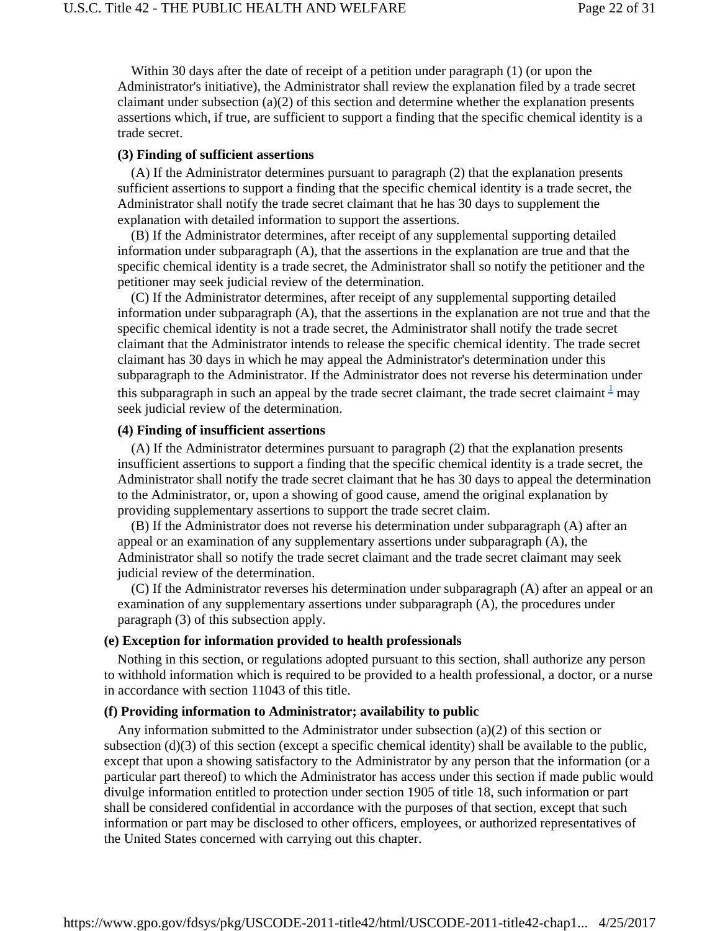Within 30 days after the date of receipt of a petition under paragraph (1) (or upon the Administrator's initiative), the Administrator shall review the explanation filed by a trade secret claimant under subsection (a)(2) of this section and determine whether the explanation presents assertions which, if true, are sufficient to support a finding that the specific chemical identity is a trade secret.

## **(3) Finding of sufficient assertions**

(A) If the Administrator determines pursuant to paragraph (2) that the explanation presents sufficient assertions to support a finding that the specific chemical identity is a trade secret, the Administrator shall notify the trade secret claimant that he has 30 days to supplement the explanation with detailed information to support the assertions.

(B) If the Administrator determines, after receipt of any supplemental supporting detailed information under subparagraph (A), that the assertions in the explanation are true and that the specific chemical identity is a trade secret, the Administrator shall so notify the petitioner and the petitioner may seek judicial review of the determination.

(C) If the Administrator determines, after receipt of any supplemental supporting detailed information under subparagraph (A), that the assertions in the explanation are not true and that the specific chemical identity is not a trade secret, the Administrator shall notify the trade secret claimant that the Administrator intends to release the specific chemical identity. The trade secret claimant has 30 days in which he may appeal the Administrator's determination under this subparagraph to the Administrator. If the Administrator does not reverse his determination under this subparagraph in such an appeal by the trade secret claimant, the trade secret claimaint  $\frac{1}{n}$  may seek judicial review of the determination.

## **(4) Finding of insufficient assertions**

(A) If the Administrator determines pursuant to paragraph (2) that the explanation presents insufficient assertions to support a finding that the specific chemical identity is a trade secret, the Administrator shall notify the trade secret claimant that he has 30 days to appeal the determination to the Administrator, or, upon a showing of good cause, amend the original explanation by providing supplementary assertions to support the trade secret claim.

(B) If the Administrator does not reverse his determination under subparagraph (A) after an appeal or an examination of any supplementary assertions under subparagraph (A), the Administrator shall so notify the trade secret claimant and the trade secret claimant may seek judicial review of the determination.

(C) If the Administrator reverses his determination under subparagraph (A) after an appeal or an examination of any supplementary assertions under subparagraph (A), the procedures under paragraph (3) of this subsection apply.

#### **(e) Exception for information provided to health professionals**

Nothing in this section, or regulations adopted pursuant to this section, shall authorize any person to withhold information which is required to be provided to a health professional, a doctor, or a nurse in accordance with section 11043 of this title.

#### **(f) Providing information to Administrator; availability to public**

Any information submitted to the Administrator under subsection (a)(2) of this section or subsection (d)(3) of this section (except a specific chemical identity) shall be available to the public, except that upon a showing satisfactory to the Administrator by any person that the information (or a particular part thereof) to which the Administrator has access under this section if made public would divulge information entitled to protection under section 1905 of title 18, such information or part shall be considered confidential in accordance with the purposes of that section, except that such information or part may be disclosed to other officers, employees, or authorized representatives of the United States concerned with carrying out this chapter.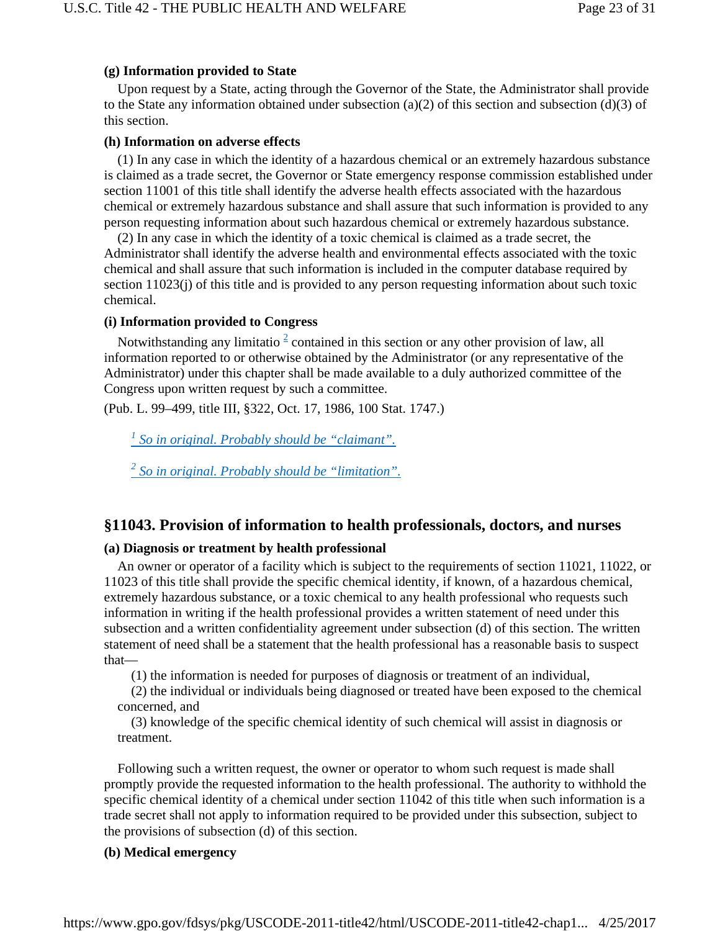# **(g) Information provided to State**

Upon request by a State, acting through the Governor of the State, the Administrator shall provide to the State any information obtained under subsection (a)(2) of this section and subsection (d)(3) of this section.

# **(h) Information on adverse effects**

(1) In any case in which the identity of a hazardous chemical or an extremely hazardous substance is claimed as a trade secret, the Governor or State emergency response commission established under section 11001 of this title shall identify the adverse health effects associated with the hazardous chemical or extremely hazardous substance and shall assure that such information is provided to any person requesting information about such hazardous chemical or extremely hazardous substance.

(2) In any case in which the identity of a toxic chemical is claimed as a trade secret, the Administrator shall identify the adverse health and environmental effects associated with the toxic chemical and shall assure that such information is included in the computer database required by section 11023(j) of this title and is provided to any person requesting information about such toxic chemical.

# **(i) Information provided to Congress**

Notwithstanding any limitatio  $\frac{2}{3}$  contained in this section or any other provision of law, all information reported to or otherwise obtained by the Administrator (or any representative of the Administrator) under this chapter shall be made available to a duly authorized committee of the Congress upon written request by such a committee.

(Pub. L. 99–499, title III, §322, Oct. 17, 1986, 100 Stat. 1747.)

*1 So in original. Probably should be "claimant".*

*2 So in original. Probably should be "limitation".*

# **§11043. Provision of information to health professionals, doctors, and nurses**

# **(a) Diagnosis or treatment by health professional**

An owner or operator of a facility which is subject to the requirements of section 11021, 11022, or 11023 of this title shall provide the specific chemical identity, if known, of a hazardous chemical, extremely hazardous substance, or a toxic chemical to any health professional who requests such information in writing if the health professional provides a written statement of need under this subsection and a written confidentiality agreement under subsection (d) of this section. The written statement of need shall be a statement that the health professional has a reasonable basis to suspect that—

(1) the information is needed for purposes of diagnosis or treatment of an individual,

(2) the individual or individuals being diagnosed or treated have been exposed to the chemical concerned, and

(3) knowledge of the specific chemical identity of such chemical will assist in diagnosis or treatment.

Following such a written request, the owner or operator to whom such request is made shall promptly provide the requested information to the health professional. The authority to withhold the specific chemical identity of a chemical under section 11042 of this title when such information is a trade secret shall not apply to information required to be provided under this subsection, subject to the provisions of subsection (d) of this section.

# **(b) Medical emergency**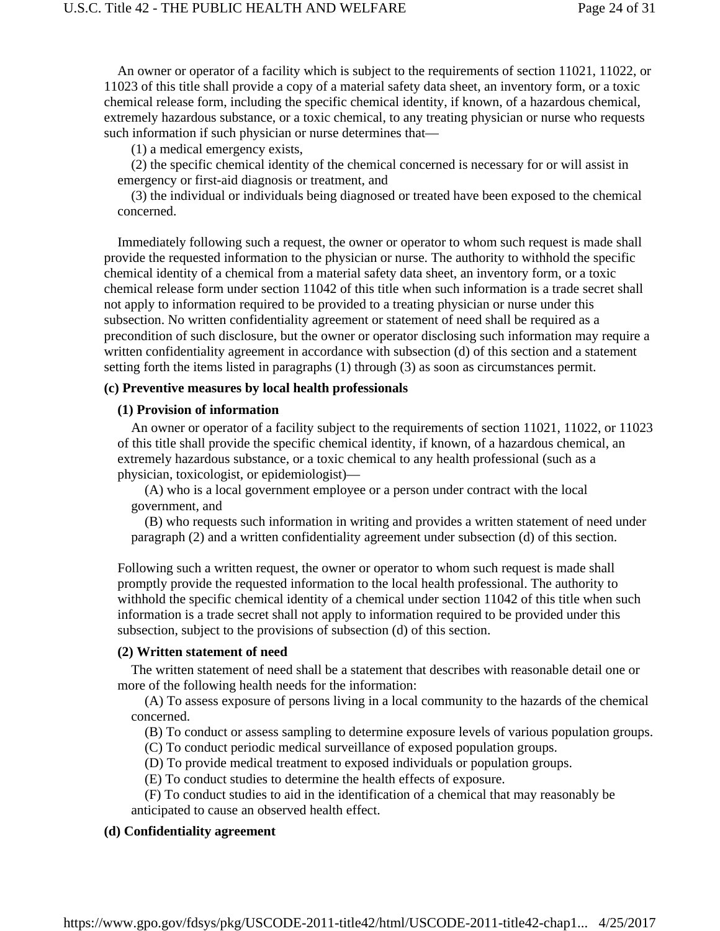An owner or operator of a facility which is subject to the requirements of section 11021, 11022, or 11023 of this title shall provide a copy of a material safety data sheet, an inventory form, or a toxic chemical release form, including the specific chemical identity, if known, of a hazardous chemical, extremely hazardous substance, or a toxic chemical, to any treating physician or nurse who requests such information if such physician or nurse determines that—

(1) a medical emergency exists,

(2) the specific chemical identity of the chemical concerned is necessary for or will assist in emergency or first-aid diagnosis or treatment, and

(3) the individual or individuals being diagnosed or treated have been exposed to the chemical concerned.

Immediately following such a request, the owner or operator to whom such request is made shall provide the requested information to the physician or nurse. The authority to withhold the specific chemical identity of a chemical from a material safety data sheet, an inventory form, or a toxic chemical release form under section 11042 of this title when such information is a trade secret shall not apply to information required to be provided to a treating physician or nurse under this subsection. No written confidentiality agreement or statement of need shall be required as a precondition of such disclosure, but the owner or operator disclosing such information may require a written confidentiality agreement in accordance with subsection (d) of this section and a statement setting forth the items listed in paragraphs (1) through (3) as soon as circumstances permit.

## **(c) Preventive measures by local health professionals**

## **(1) Provision of information**

An owner or operator of a facility subject to the requirements of section 11021, 11022, or 11023 of this title shall provide the specific chemical identity, if known, of a hazardous chemical, an extremely hazardous substance, or a toxic chemical to any health professional (such as a physician, toxicologist, or epidemiologist)—

(A) who is a local government employee or a person under contract with the local government, and

(B) who requests such information in writing and provides a written statement of need under paragraph (2) and a written confidentiality agreement under subsection (d) of this section.

Following such a written request, the owner or operator to whom such request is made shall promptly provide the requested information to the local health professional. The authority to withhold the specific chemical identity of a chemical under section 11042 of this title when such information is a trade secret shall not apply to information required to be provided under this subsection, subject to the provisions of subsection (d) of this section.

#### **(2) Written statement of need**

The written statement of need shall be a statement that describes with reasonable detail one or more of the following health needs for the information:

(A) To assess exposure of persons living in a local community to the hazards of the chemical concerned.

(B) To conduct or assess sampling to determine exposure levels of various population groups.

(C) To conduct periodic medical surveillance of exposed population groups.

(D) To provide medical treatment to exposed individuals or population groups.

(E) To conduct studies to determine the health effects of exposure.

(F) To conduct studies to aid in the identification of a chemical that may reasonably be anticipated to cause an observed health effect.

### **(d) Confidentiality agreement**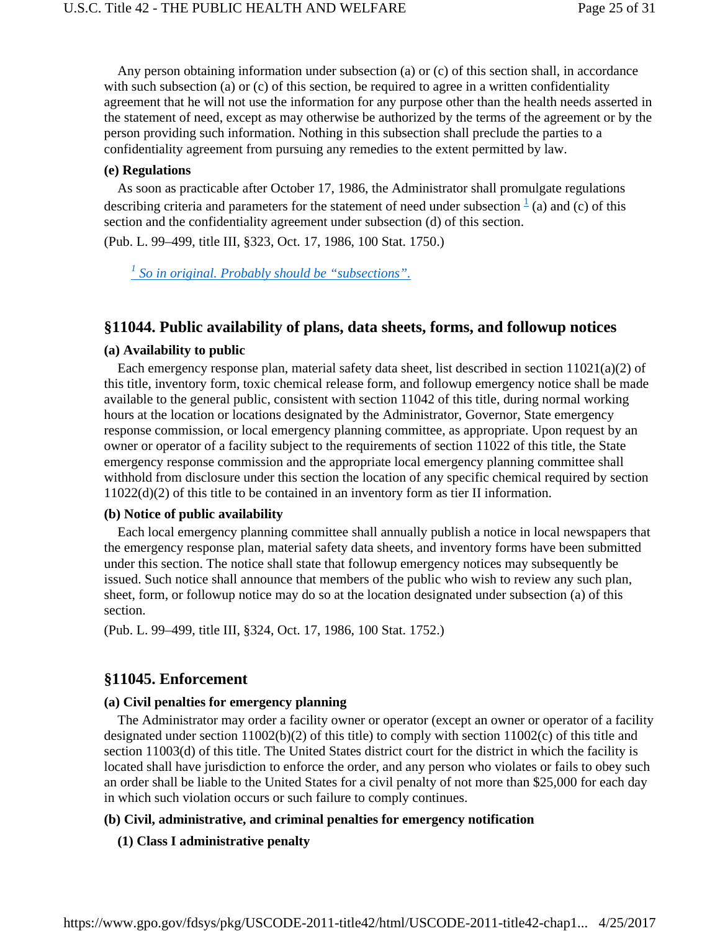Any person obtaining information under subsection (a) or (c) of this section shall, in accordance with such subsection (a) or (c) of this section, be required to agree in a written confidentiality agreement that he will not use the information for any purpose other than the health needs asserted in the statement of need, except as may otherwise be authorized by the terms of the agreement or by the person providing such information. Nothing in this subsection shall preclude the parties to a confidentiality agreement from pursuing any remedies to the extent permitted by law.

### **(e) Regulations**

As soon as practicable after October 17, 1986, the Administrator shall promulgate regulations describing criteria and parameters for the statement of need under subsection  $\frac{1}{a}$  (a) and (c) of this section and the confidentiality agreement under subsection (d) of this section. (Pub. L. 99–499, title III, §323, Oct. 17, 1986, 100 Stat. 1750.)

*1 So in original. Probably should be "subsections".*

# **§11044. Public availability of plans, data sheets, forms, and followup notices**

## **(a) Availability to public**

Each emergency response plan, material safety data sheet, list described in section 11021(a)(2) of this title, inventory form, toxic chemical release form, and followup emergency notice shall be made available to the general public, consistent with section 11042 of this title, during normal working hours at the location or locations designated by the Administrator, Governor, State emergency response commission, or local emergency planning committee, as appropriate. Upon request by an owner or operator of a facility subject to the requirements of section 11022 of this title, the State emergency response commission and the appropriate local emergency planning committee shall withhold from disclosure under this section the location of any specific chemical required by section  $11022(d)(2)$  of this title to be contained in an inventory form as tier II information.

### **(b) Notice of public availability**

Each local emergency planning committee shall annually publish a notice in local newspapers that the emergency response plan, material safety data sheets, and inventory forms have been submitted under this section. The notice shall state that followup emergency notices may subsequently be issued. Such notice shall announce that members of the public who wish to review any such plan, sheet, form, or followup notice may do so at the location designated under subsection (a) of this section.

(Pub. L. 99–499, title III, §324, Oct. 17, 1986, 100 Stat. 1752.)

# **§11045. Enforcement**

# **(a) Civil penalties for emergency planning**

The Administrator may order a facility owner or operator (except an owner or operator of a facility designated under section 11002(b)(2) of this title) to comply with section 11002(c) of this title and section 11003(d) of this title. The United States district court for the district in which the facility is located shall have jurisdiction to enforce the order, and any person who violates or fails to obey such an order shall be liable to the United States for a civil penalty of not more than \$25,000 for each day in which such violation occurs or such failure to comply continues.

# **(b) Civil, administrative, and criminal penalties for emergency notification**

# **(1) Class I administrative penalty**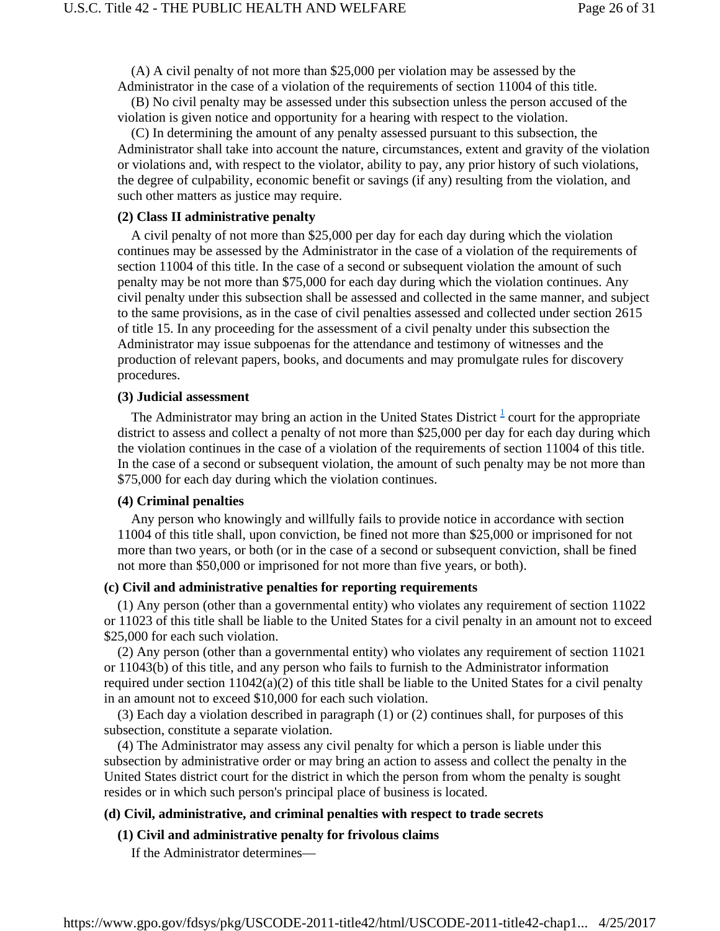(A) A civil penalty of not more than \$25,000 per violation may be assessed by the Administrator in the case of a violation of the requirements of section 11004 of this title.

(B) No civil penalty may be assessed under this subsection unless the person accused of the violation is given notice and opportunity for a hearing with respect to the violation.

(C) In determining the amount of any penalty assessed pursuant to this subsection, the Administrator shall take into account the nature, circumstances, extent and gravity of the violation or violations and, with respect to the violator, ability to pay, any prior history of such violations, the degree of culpability, economic benefit or savings (if any) resulting from the violation, and such other matters as justice may require.

### **(2) Class II administrative penalty**

A civil penalty of not more than \$25,000 per day for each day during which the violation continues may be assessed by the Administrator in the case of a violation of the requirements of section 11004 of this title. In the case of a second or subsequent violation the amount of such penalty may be not more than \$75,000 for each day during which the violation continues. Any civil penalty under this subsection shall be assessed and collected in the same manner, and subject to the same provisions, as in the case of civil penalties assessed and collected under section 2615 of title 15. In any proceeding for the assessment of a civil penalty under this subsection the Administrator may issue subpoenas for the attendance and testimony of witnesses and the production of relevant papers, books, and documents and may promulgate rules for discovery procedures.

#### **(3) Judicial assessment**

The Administrator may bring an action in the United States District  $\frac{1}{x}$  court for the appropriate district to assess and collect a penalty of not more than \$25,000 per day for each day during which the violation continues in the case of a violation of the requirements of section 11004 of this title. In the case of a second or subsequent violation, the amount of such penalty may be not more than \$75,000 for each day during which the violation continues.

### **(4) Criminal penalties**

Any person who knowingly and willfully fails to provide notice in accordance with section 11004 of this title shall, upon conviction, be fined not more than \$25,000 or imprisoned for not more than two years, or both (or in the case of a second or subsequent conviction, shall be fined not more than \$50,000 or imprisoned for not more than five years, or both).

# **(c) Civil and administrative penalties for reporting requirements**

(1) Any person (other than a governmental entity) who violates any requirement of section 11022 or 11023 of this title shall be liable to the United States for a civil penalty in an amount not to exceed \$25,000 for each such violation.

(2) Any person (other than a governmental entity) who violates any requirement of section 11021 or 11043(b) of this title, and any person who fails to furnish to the Administrator information required under section  $11042(a)(2)$  of this title shall be liable to the United States for a civil penalty in an amount not to exceed \$10,000 for each such violation.

(3) Each day a violation described in paragraph (1) or (2) continues shall, for purposes of this subsection, constitute a separate violation.

(4) The Administrator may assess any civil penalty for which a person is liable under this subsection by administrative order or may bring an action to assess and collect the penalty in the United States district court for the district in which the person from whom the penalty is sought resides or in which such person's principal place of business is located.

# **(d) Civil, administrative, and criminal penalties with respect to trade secrets**

## **(1) Civil and administrative penalty for frivolous claims**

If the Administrator determines—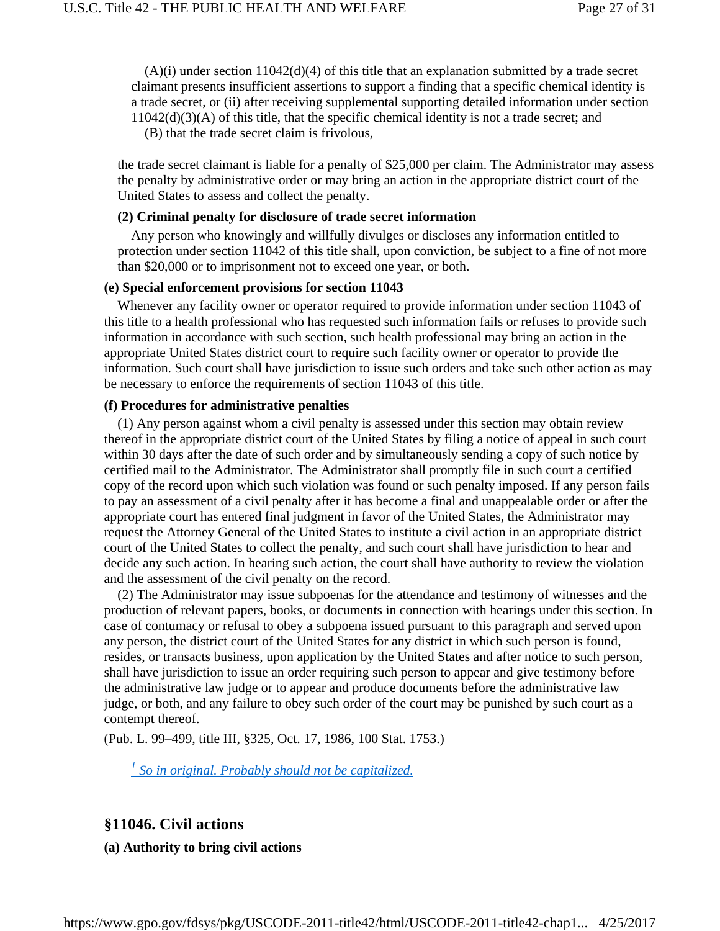$(A)(i)$  under section 11042(d)(4) of this title that an explanation submitted by a trade secret claimant presents insufficient assertions to support a finding that a specific chemical identity is a trade secret, or (ii) after receiving supplemental supporting detailed information under section  $11042(d)(3)(A)$  of this title, that the specific chemical identity is not a trade secret; and

(B) that the trade secret claim is frivolous,

the trade secret claimant is liable for a penalty of \$25,000 per claim. The Administrator may assess the penalty by administrative order or may bring an action in the appropriate district court of the United States to assess and collect the penalty.

### **(2) Criminal penalty for disclosure of trade secret information**

Any person who knowingly and willfully divulges or discloses any information entitled to protection under section 11042 of this title shall, upon conviction, be subject to a fine of not more than \$20,000 or to imprisonment not to exceed one year, or both.

### **(e) Special enforcement provisions for section 11043**

Whenever any facility owner or operator required to provide information under section 11043 of this title to a health professional who has requested such information fails or refuses to provide such information in accordance with such section, such health professional may bring an action in the appropriate United States district court to require such facility owner or operator to provide the information. Such court shall have jurisdiction to issue such orders and take such other action as may be necessary to enforce the requirements of section 11043 of this title.

## **(f) Procedures for administrative penalties**

(1) Any person against whom a civil penalty is assessed under this section may obtain review thereof in the appropriate district court of the United States by filing a notice of appeal in such court within 30 days after the date of such order and by simultaneously sending a copy of such notice by certified mail to the Administrator. The Administrator shall promptly file in such court a certified copy of the record upon which such violation was found or such penalty imposed. If any person fails to pay an assessment of a civil penalty after it has become a final and unappealable order or after the appropriate court has entered final judgment in favor of the United States, the Administrator may request the Attorney General of the United States to institute a civil action in an appropriate district court of the United States to collect the penalty, and such court shall have jurisdiction to hear and decide any such action. In hearing such action, the court shall have authority to review the violation and the assessment of the civil penalty on the record.

(2) The Administrator may issue subpoenas for the attendance and testimony of witnesses and the production of relevant papers, books, or documents in connection with hearings under this section. In case of contumacy or refusal to obey a subpoena issued pursuant to this paragraph and served upon any person, the district court of the United States for any district in which such person is found, resides, or transacts business, upon application by the United States and after notice to such person, shall have jurisdiction to issue an order requiring such person to appear and give testimony before the administrative law judge or to appear and produce documents before the administrative law judge, or both, and any failure to obey such order of the court may be punished by such court as a contempt thereof.

(Pub. L. 99–499, title III, §325, Oct. 17, 1986, 100 Stat. 1753.)

*1 So in original. Probably should not be capitalized.*

# **§11046. Civil actions**

**(a) Authority to bring civil actions**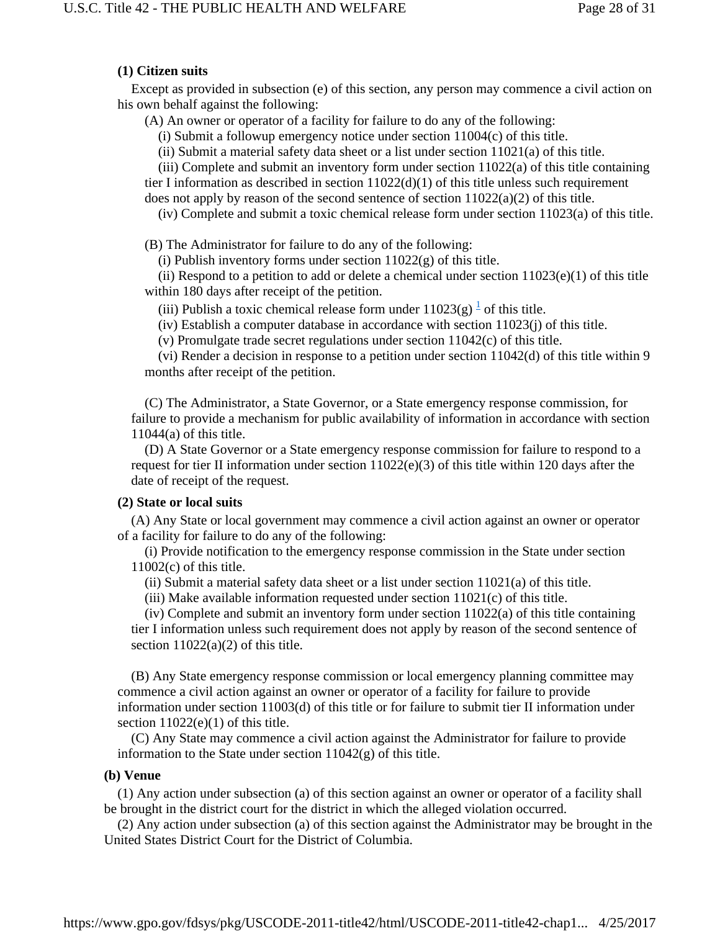# **(1) Citizen suits**

Except as provided in subsection (e) of this section, any person may commence a civil action on his own behalf against the following:

(A) An owner or operator of a facility for failure to do any of the following:

(i) Submit a followup emergency notice under section 11004(c) of this title.

(ii) Submit a material safety data sheet or a list under section  $11021(a)$  of this title.

(iii) Complete and submit an inventory form under section 11022(a) of this title containing tier I information as described in section  $11022(d)(1)$  of this title unless such requirement does not apply by reason of the second sentence of section  $11022(a)(2)$  of this title.

(iv) Complete and submit a toxic chemical release form under section 11023(a) of this title.

(B) The Administrator for failure to do any of the following:

(i) Publish inventory forms under section  $11022(g)$  of this title.

(ii) Respond to a petition to add or delete a chemical under section  $11023(e)(1)$  of this title within 180 days after receipt of the petition.

(iii) Publish a toxic chemical release form under  $11023(g)^{\frac{1}{2}}$  of this title.

(iv) Establish a computer database in accordance with section 11023(j) of this title.

(v) Promulgate trade secret regulations under section 11042(c) of this title.

(vi) Render a decision in response to a petition under section 11042(d) of this title within 9 months after receipt of the petition.

(C) The Administrator, a State Governor, or a State emergency response commission, for failure to provide a mechanism for public availability of information in accordance with section  $11044(a)$  of this title.

(D) A State Governor or a State emergency response commission for failure to respond to a request for tier II information under section  $11022(e)(3)$  of this title within 120 days after the date of receipt of the request.

# **(2) State or local suits**

(A) Any State or local government may commence a civil action against an owner or operator of a facility for failure to do any of the following:

(i) Provide notification to the emergency response commission in the State under section  $11002(c)$  of this title.

(ii) Submit a material safety data sheet or a list under section  $11021(a)$  of this title.

(iii) Make available information requested under section 11021(c) of this title.

(iv) Complete and submit an inventory form under section 11022(a) of this title containing tier I information unless such requirement does not apply by reason of the second sentence of section 11022(a)(2) of this title.

(B) Any State emergency response commission or local emergency planning committee may commence a civil action against an owner or operator of a facility for failure to provide information under section 11003(d) of this title or for failure to submit tier II information under section  $11022(e)(1)$  of this title.

(C) Any State may commence a civil action against the Administrator for failure to provide information to the State under section  $11042(g)$  of this title.

# **(b) Venue**

(1) Any action under subsection (a) of this section against an owner or operator of a facility shall be brought in the district court for the district in which the alleged violation occurred.

(2) Any action under subsection (a) of this section against the Administrator may be brought in the United States District Court for the District of Columbia.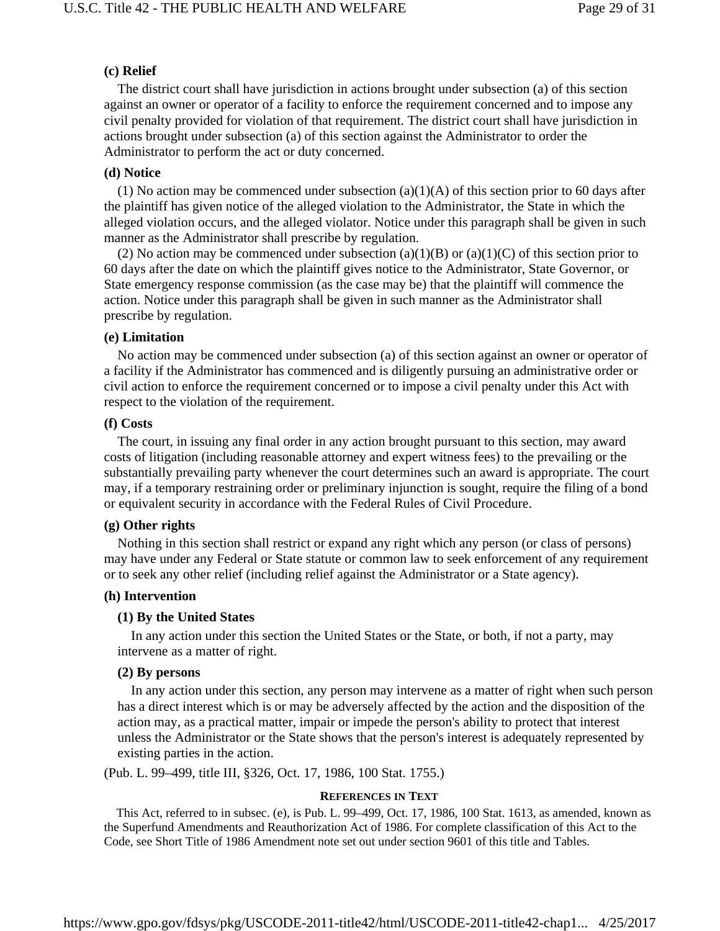## **(c) Relief**

The district court shall have jurisdiction in actions brought under subsection (a) of this section against an owner or operator of a facility to enforce the requirement concerned and to impose any civil penalty provided for violation of that requirement. The district court shall have jurisdiction in actions brought under subsection (a) of this section against the Administrator to order the Administrator to perform the act or duty concerned.

## **(d) Notice**

(1) No action may be commenced under subsection (a)(1)(A) of this section prior to 60 days after the plaintiff has given notice of the alleged violation to the Administrator, the State in which the alleged violation occurs, and the alleged violator. Notice under this paragraph shall be given in such manner as the Administrator shall prescribe by regulation.

(2) No action may be commenced under subsection (a)(1)(B) or (a)(1)(C) of this section prior to 60 days after the date on which the plaintiff gives notice to the Administrator, State Governor, or State emergency response commission (as the case may be) that the plaintiff will commence the action. Notice under this paragraph shall be given in such manner as the Administrator shall prescribe by regulation.

## **(e) Limitation**

No action may be commenced under subsection (a) of this section against an owner or operator of a facility if the Administrator has commenced and is diligently pursuing an administrative order or civil action to enforce the requirement concerned or to impose a civil penalty under this Act with respect to the violation of the requirement.

### **(f) Costs**

The court, in issuing any final order in any action brought pursuant to this section, may award costs of litigation (including reasonable attorney and expert witness fees) to the prevailing or the substantially prevailing party whenever the court determines such an award is appropriate. The court may, if a temporary restraining order or preliminary injunction is sought, require the filing of a bond or equivalent security in accordance with the Federal Rules of Civil Procedure.

### **(g) Other rights**

Nothing in this section shall restrict or expand any right which any person (or class of persons) may have under any Federal or State statute or common law to seek enforcement of any requirement or to seek any other relief (including relief against the Administrator or a State agency).

### **(h) Intervention**

# **(1) By the United States**

In any action under this section the United States or the State, or both, if not a party, may intervene as a matter of right.

### **(2) By persons**

In any action under this section, any person may intervene as a matter of right when such person has a direct interest which is or may be adversely affected by the action and the disposition of the action may, as a practical matter, impair or impede the person's ability to protect that interest unless the Administrator or the State shows that the person's interest is adequately represented by existing parties in the action.

(Pub. L. 99–499, title III, §326, Oct. 17, 1986, 100 Stat. 1755.)

#### **REFERENCES IN TEXT**

This Act, referred to in subsec. (e), is Pub. L. 99–499, Oct. 17, 1986, 100 Stat. 1613, as amended, known as the Superfund Amendments and Reauthorization Act of 1986. For complete classification of this Act to the Code, see Short Title of 1986 Amendment note set out under section 9601 of this title and Tables.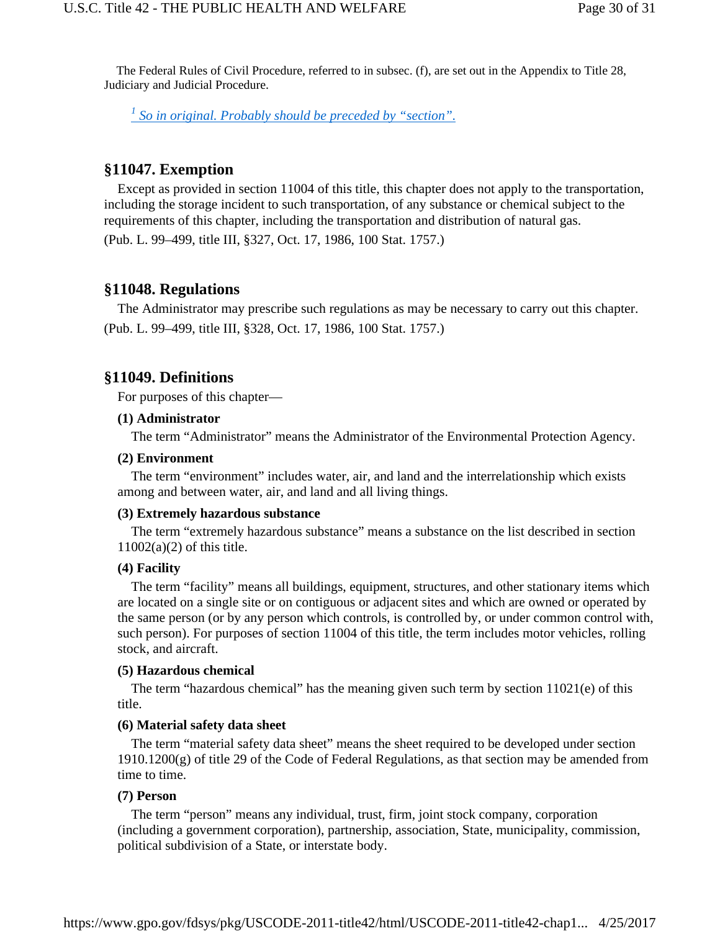The Federal Rules of Civil Procedure, referred to in subsec. (f), are set out in the Appendix to Title 28, Judiciary and Judicial Procedure.

*1 So in original. Probably should be preceded by "section".*

# **§11047. Exemption**

Except as provided in section 11004 of this title, this chapter does not apply to the transportation, including the storage incident to such transportation, of any substance or chemical subject to the requirements of this chapter, including the transportation and distribution of natural gas. (Pub. L. 99–499, title III, §327, Oct. 17, 1986, 100 Stat. 1757.)

# **§11048. Regulations**

The Administrator may prescribe such regulations as may be necessary to carry out this chapter. (Pub. L. 99–499, title III, §328, Oct. 17, 1986, 100 Stat. 1757.)

# **§11049. Definitions**

For purposes of this chapter—

### **(1) Administrator**

The term "Administrator" means the Administrator of the Environmental Protection Agency.

### **(2) Environment**

The term "environment" includes water, air, and land and the interrelationship which exists among and between water, air, and land and all living things.

### **(3) Extremely hazardous substance**

The term "extremely hazardous substance" means a substance on the list described in section 11002(a)(2) of this title.

### **(4) Facility**

The term "facility" means all buildings, equipment, structures, and other stationary items which are located on a single site or on contiguous or adjacent sites and which are owned or operated by the same person (or by any person which controls, is controlled by, or under common control with, such person). For purposes of section 11004 of this title, the term includes motor vehicles, rolling stock, and aircraft.

## **(5) Hazardous chemical**

The term "hazardous chemical" has the meaning given such term by section 11021(e) of this title.

## **(6) Material safety data sheet**

The term "material safety data sheet" means the sheet required to be developed under section  $1910.1200(g)$  of title 29 of the Code of Federal Regulations, as that section may be amended from time to time.

### **(7) Person**

The term "person" means any individual, trust, firm, joint stock company, corporation (including a government corporation), partnership, association, State, municipality, commission, political subdivision of a State, or interstate body.